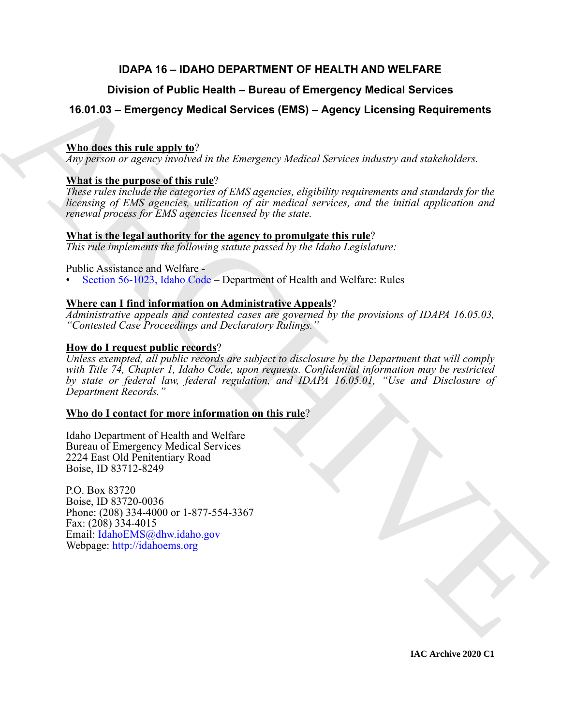# **IDAPA 16 – IDAHO DEPARTMENT OF HEALTH AND WELFARE**

# **Division of Public Health – Bureau of Emergency Medical Services**

# **16.01.03 – Emergency Medical Services (EMS) – Agency Licensing Requirements**

# **Who does this rule apply to**?

*Any person or agency involved in the Emergency Medical Services industry and stakeholders.*

# **What is the purpose of this rule**?

*These rules include the categories of EMS agencies, eligibility requirements and standards for the licensing of EMS agencies, utilization of air medical services, and the initial application and renewal process for EMS agencies licensed by the state.*

## **What is the legal authority for the agency to promulgate this rule**?

*This rule implements the following statute passed by the Idaho Legislature:*

## Public Assistance and Welfare -

• Section 56-1023, Idaho Code – Department of Health and Welfare: Rules

# **Where can I find information on Administrative Appeals**?

*Administrative appeals and contested cases are governed by the provisions of IDAPA 16.05.03, "Contested Case Proceedings and Declaratory Rulings."*

# **How do I request public records**?

Division of Public Health – Bureau of Emergency Medical Services<br>
16.01.03 – Emergency Medical Services (EMS) – Agency Licensing Requirements<br>
Whates this results of this results in the Emergency Medical Services underly *Unless exempted, all public records are subject to disclosure by the Department that will comply with Title 74, Chapter 1, Idaho Code, upon requests. Confidential information may be restricted by state or federal law, federal regulation, and IDAPA 16.05.01, "Use and Disclosure of Department Records."*

# **Who do I contact for more information on this rule**?

Idaho Department of Health and Welfare Bureau of Emergency Medical Services 2224 East Old Penitentiary Road Boise, ID 83712-8249

P.O. Box 83720 Boise, ID 83720-0036 Phone: (208) 334-4000 or 1-877-554-3367 Fax: (208) 334-4015 Email: IdahoEMS@dhw.idaho.gov Webpage: http://idahoems.org

**IAC Archive 2020 C1**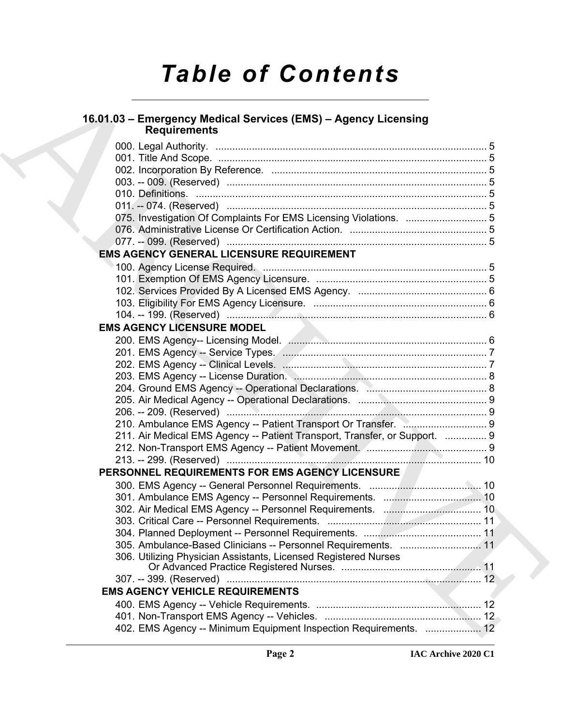# *Table of Contents*

# **16.01.03 – Emergency Medical Services (EMS) – Agency Licensing Requirements**

| 16.01.03 - Emergency Medical Services (EMS) - Agency Licensing             |  |
|----------------------------------------------------------------------------|--|
| <b>Requirements</b>                                                        |  |
|                                                                            |  |
|                                                                            |  |
|                                                                            |  |
|                                                                            |  |
|                                                                            |  |
|                                                                            |  |
| 075. Investigation Of Complaints For EMS Licensing Violations.  5          |  |
|                                                                            |  |
|                                                                            |  |
| <b>EMS AGENCY GENERAL LICENSURE REQUIREMENT</b>                            |  |
|                                                                            |  |
|                                                                            |  |
|                                                                            |  |
|                                                                            |  |
|                                                                            |  |
| <b>EMS AGENCY LICENSURE MODEL</b>                                          |  |
|                                                                            |  |
|                                                                            |  |
|                                                                            |  |
|                                                                            |  |
|                                                                            |  |
|                                                                            |  |
|                                                                            |  |
|                                                                            |  |
| 211. Air Medical EMS Agency -- Patient Transport, Transfer, or Support.  9 |  |
|                                                                            |  |
|                                                                            |  |
| PERSONNEL REQUIREMENTS FOR EMS AGENCY LICENSURE                            |  |
|                                                                            |  |
|                                                                            |  |
|                                                                            |  |
|                                                                            |  |
|                                                                            |  |
| 305. Ambulance-Based Clinicians -- Personnel Requirements.  11             |  |
| 306. Utilizing Physician Assistants, Licensed Registered Nurses            |  |
|                                                                            |  |
|                                                                            |  |
| <b>EMS AGENCY VEHICLE REQUIREMENTS</b>                                     |  |
|                                                                            |  |
|                                                                            |  |
| 402. EMS Agency -- Minimum Equipment Inspection Requirements.  12          |  |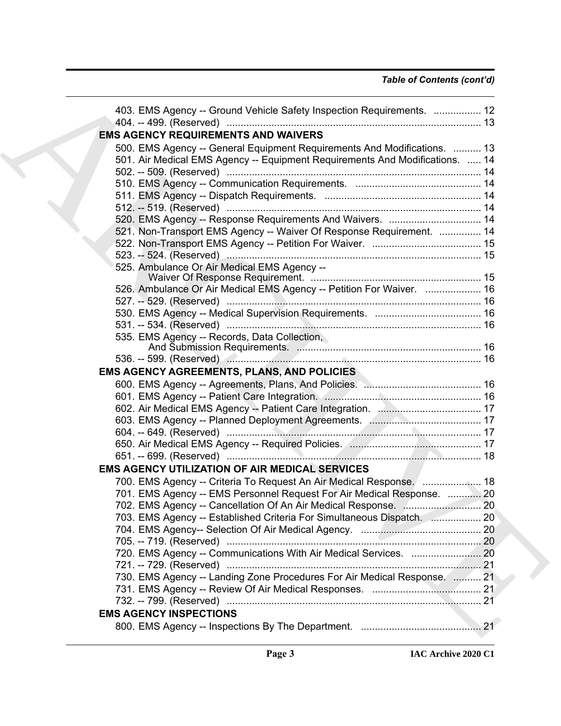# *Table of Contents (cont'd)*

| 403. EMS Agency -- Ground Vehicle Safety Inspection Requirements.  12        |  |
|------------------------------------------------------------------------------|--|
| <b>EMS AGENCY REQUIREMENTS AND WAIVERS</b>                                   |  |
| 500. EMS Agency -- General Equipment Requirements And Modifications.  13     |  |
| 501. Air Medical EMS Agency -- Equipment Requirements And Modifications.  14 |  |
|                                                                              |  |
|                                                                              |  |
|                                                                              |  |
|                                                                              |  |
| 520. EMS Agency -- Response Requirements And Waivers.  14                    |  |
| 521. Non-Transport EMS Agency -- Waiver Of Response Requirement.  14         |  |
|                                                                              |  |
|                                                                              |  |
| 525. Ambulance Or Air Medical EMS Agency --                                  |  |
|                                                                              |  |
| 526. Ambulance Or Air Medical EMS Agency -- Petition For Waiver.  16         |  |
|                                                                              |  |
|                                                                              |  |
|                                                                              |  |
| 535. EMS Agency -- Records, Data Collection,                                 |  |
|                                                                              |  |
|                                                                              |  |
| <b>EMS AGENCY AGREEMENTS, PLANS, AND POLICIES</b>                            |  |
|                                                                              |  |
|                                                                              |  |
|                                                                              |  |
|                                                                              |  |
|                                                                              |  |
|                                                                              |  |
|                                                                              |  |
| <b>EMS AGENCY UTILIZATION OF AIR MEDICAL SERVICES</b>                        |  |
| 700. EMS Agency -- Criteria To Request An Air Medical Response. [ 18         |  |
| 701. EMS Agency -- EMS Personnel Request For Air Medical Response.  20       |  |
|                                                                              |  |
| 703. EMS Agency -- Established Criteria For Simultaneous Dispatch.  20       |  |
|                                                                              |  |
|                                                                              |  |
|                                                                              |  |
|                                                                              |  |
| 730. EMS Agency -- Landing Zone Procedures For Air Medical Response.  21     |  |
|                                                                              |  |
|                                                                              |  |
| <b>EMS AGENCY INSPECTIONS</b>                                                |  |
|                                                                              |  |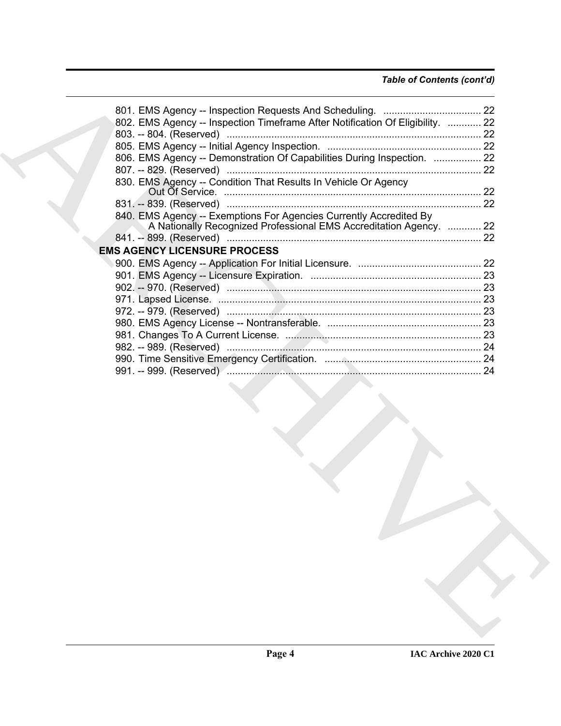# *Table of Contents (cont'd)*

| 802. EMS Agency -- Inspection Timeframe After Notification Of Eligibility.  22 |  |
|--------------------------------------------------------------------------------|--|
|                                                                                |  |
|                                                                                |  |
| 806. EMS Agency -- Demonstration Of Capabilities During Inspection.  22        |  |
|                                                                                |  |
| 830. EMS Agency -- Condition That Results In Vehicle Or Agency                 |  |
|                                                                                |  |
| 840. EMS Agency -- Exemptions For Agencies Currently Accredited By             |  |
| A Nationally Recognized Professional EMS Accreditation Agency.  22             |  |
|                                                                                |  |
| <b>EMS AGENCY LICENSURE PROCESS</b>                                            |  |
|                                                                                |  |
|                                                                                |  |
|                                                                                |  |
|                                                                                |  |
|                                                                                |  |
|                                                                                |  |
|                                                                                |  |
|                                                                                |  |
|                                                                                |  |
|                                                                                |  |
|                                                                                |  |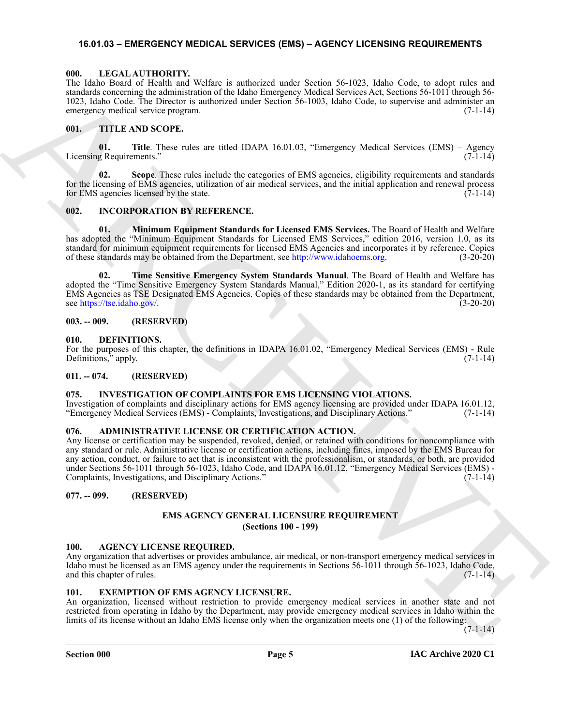### <span id="page-4-20"></span><span id="page-4-0"></span>**16.01.03 – EMERGENCY MEDICAL SERVICES (EMS) – AGENCY LICENSING REQUIREMENTS**

#### <span id="page-4-1"></span>**000. LEGAL AUTHORITY.**

The Idaho Board of Health and Welfare is authorized under Section 56-1023, Idaho Code, to adopt rules and standards concerning the administration of the Idaho Emergency Medical Services Act, Sections 56-1011 through 56- 1023, Idaho Code. The Director is authorized under Section 56-1003, Idaho Code, to supervise and administer an emergency medical service program. (7-1-14)

#### <span id="page-4-21"></span><span id="page-4-2"></span>**001. TITLE AND SCOPE.**

**01. Title**. These rules are titled IDAPA 16.01.03, "Emergency Medical Services (EMS) – Agency Licensing Requirements." (7-1-14)

**02. Scope**. These rules include the categories of EMS agencies, eligibility requirements and standards for the licensing of EMS agencies, utilization of air medical services, and the initial application and renewal process for EMS agencies licensed by the state.  $(7-1-14)$ 

#### <span id="page-4-18"></span><span id="page-4-3"></span>**002. INCORPORATION BY REFERENCE.**

**01. Minimum Equipment Standards for Licensed EMS Services.** The Board of Health and Welfare has adopted the "Minimum Equipment Standards for Licensed EMS Services," edition 2016, version 1.0, as its standard for minimum equipment requirements for licensed EMS Agencies and incorporates it by reference. Copies of these standards may be obtained from the Department, see http://www.idahoems.org. (3-20-20)

**Time Sensitive Emergency System Standards Manual**. The Board of Health and Welfare has adopted the "Time Sensitive Emergency System Standards Manual," Edition 2020-1, as its standard for certifying EMS Agencies as TSE Designated EMS Agencies. Copies of these standards may be obtained from the Department, see https://tse.idaho.gov/. (3-20-20)

#### <span id="page-4-4"></span>**003. -- 009. (RESERVED)**

#### <span id="page-4-15"></span><span id="page-4-5"></span>**010. DEFINITIONS.**

For the purposes of this chapter, the definitions in IDAPA 16.01.02, "Emergency Medical Services (EMS) - Rule Definitions," apply. (7-1-14)

### <span id="page-4-6"></span>**011. -- 074. (RESERVED)**

#### <span id="page-4-19"></span><span id="page-4-7"></span>**075. INVESTIGATION OF COMPLAINTS FOR EMS LICENSING VIOLATIONS.**

Investigation of complaints and disciplinary actions for EMS agency licensing are provided under IDAPA 16.01.12, "Emergency Medical Services (EMS) - Complaints, Investigations, and Disciplinary Actions." (7-1-14)

#### <span id="page-4-13"></span><span id="page-4-8"></span>**076. ADMINISTRATIVE LICENSE OR CERTIFICATION ACTION.**

Hence the constraints of the state of the state of the state of the state of the state of the state of the state of the state of the state of the state of the state of the state of the state of the state of the state of t Any license or certification may be suspended, revoked, denied, or retained with conditions for noncompliance with any standard or rule. Administrative license or certification actions, including fines, imposed by the EMS Bureau for any action, conduct, or failure to act that is inconsistent with the professionalism, or standards, or both, are provided under Sections 56-1011 through 56-1023, Idaho Code, and IDAPA 16.01.12, "Emergency Medical Services (EMS) - Complaints, Investigations, and Disciplinary Actions." (7-1-14)

#### <span id="page-4-10"></span><span id="page-4-9"></span>**077. -- 099. (RESERVED)**

#### <span id="page-4-16"></span>**EMS AGENCY GENERAL LICENSURE REQUIREMENT (Sections 100 - 199)**

#### <span id="page-4-14"></span><span id="page-4-11"></span>**100. AGENCY LICENSE REQUIRED.**

Any organization that advertises or provides ambulance, air medical, or non-transport emergency medical services in Idaho must be licensed as an EMS agency under the requirements in Sections 56-1011 through 56-1023, Idaho Code, and this chapter of rules.

#### <span id="page-4-17"></span><span id="page-4-12"></span>**101. EXEMPTION OF EMS AGENCY LICENSURE.**

An organization, licensed without restriction to provide emergency medical services in another state and not restricted from operating in Idaho by the Department, may provide emergency medical services in Idaho within the limits of its license without an Idaho EMS license only when the organization meets one (1) of the following:

 $(7-1-14)$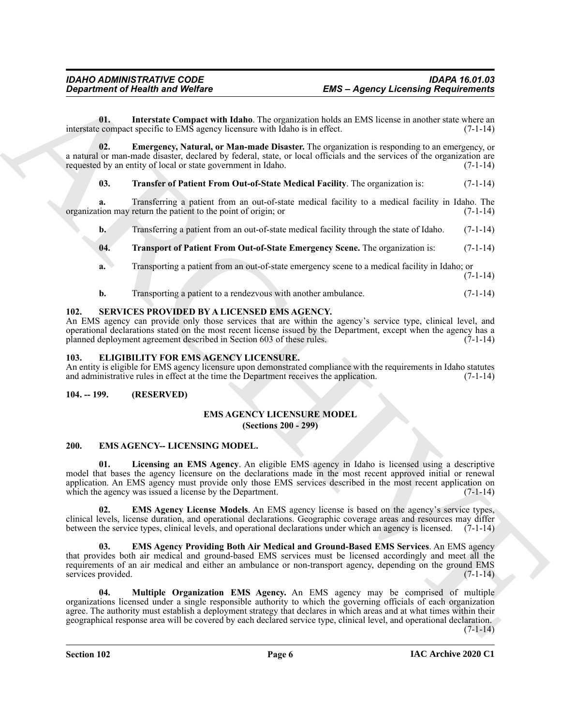<span id="page-5-13"></span>**01. Interstate Compact with Idaho**. The organization holds an EMS license in another state where an interstate compact specific to EMS agency licensure with Idaho is in effect. (7-1-14)

**02. Emergency, Natural, or Man-made Disaster.** The organization is responding to an emergency, or a natural or man-made disaster, declared by federal, state, or local officials and the services of the organization are requested by an entity of local or state government in Idaho. (7-1-14) requested by an entity of local or state government in Idaho.

#### <span id="page-5-14"></span><span id="page-5-12"></span>**03. Transfer of Patient From Out-of-State Medical Facility**. The organization is: (7-1-14)

**a.** Transferring a patient from an out-of-state medical facility to a medical facility in Idaho. The organization may return the patient to the point of origin; or (7-1-14)

**b.** Transferring a patient from an out-of-state medical facility through the state of Idaho. (7-1-14)

### <span id="page-5-15"></span>**04. Transport of Patient From Out-of-State Emergency Scene.** The organization is: (7-1-14)

- **a.** Transporting a patient from an out-of-state emergency scene to a medical facility in Idaho; or  $(7-1-14)$
- <span id="page-5-16"></span>**b.** Transporting a patient to a rendezvous with another ambulance. (7-1-14)

#### <span id="page-5-0"></span>**102. SERVICES PROVIDED BY A LICENSED EMS AGENCY.**

An EMS agency can provide only those services that are within the agency's service type, clinical level, and operational declarations stated on the most recent license issued by the Department, except when the agency has a planned deployment agreement described in Section 603 of these rules. (7-1-14)

#### <span id="page-5-5"></span><span id="page-5-1"></span>**103. ELIGIBILITY FOR EMS AGENCY LICENSURE.**

An entity is eligible for EMS agency licensure upon demonstrated compliance with the requirements in Idaho statutes and administrative rules in effect at the time the Department receives the application. (7-1-14)

#### <span id="page-5-3"></span><span id="page-5-2"></span>**104. -- 199. (RESERVED)**

#### <span id="page-5-11"></span>**EMS AGENCY LICENSURE MODEL (Sections 200 - 299)**

#### <span id="page-5-6"></span><span id="page-5-4"></span>**200. EMS AGENCY-- LICENSING MODEL.**

<span id="page-5-9"></span>**01. Licensing an EMS Agency**. An eligible EMS agency in Idaho is licensed using a descriptive model that bases the agency licensure on the declarations made in the most recent approved initial or renewal application. An EMS agency must provide only those EMS services described in the most recent application on which the agency was issued a license by the Department. (7-1-14)

<span id="page-5-7"></span>**02. EMS Agency License Models**. An EMS agency license is based on the agency's service types, clinical levels, license duration, and operational declarations. Geographic coverage areas and resources may differ between the service types, clinical levels, and operational declarations under which an agency is licensed. (7-1-14)

<span id="page-5-10"></span><span id="page-5-8"></span>**03. EMS Agency Providing Both Air Medical and Ground-Based EMS Services**. An EMS agency that provides both air medical and ground-based EMS services must be licensed accordingly and meet all the requirements of an air medical and either an ambulance or non-transport agency, depending on the ground EMS services provided. (7-1-14)

**ENG** - **Learning Requirements**<br> **ENG** - **Learning Requirements**<br> **ENG** - **Learning Requirements**<br> **ENG** - **Learning Requirements**<br> **ENG** - **Learning Requirements**<br> **ENG** - **Learning Requirements**<br> **ENG** - **Learning Requi 04. Multiple Organization EMS Agency.** An EMS agency may be comprised of multiple organizations licensed under a single responsible authority to which the governing officials of each organization agree. The authority must establish a deployment strategy that declares in which areas and at what times within their geographical response area will be covered by each declared service type, clinical level, and operational declaration.

 $(7-1-14)$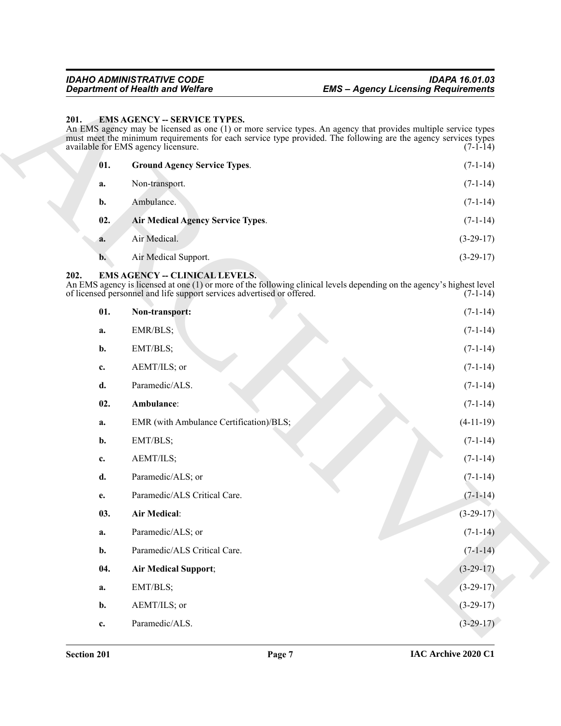#### <span id="page-6-7"></span><span id="page-6-0"></span>201. EMS AGENCY -- SERVICE TYPES.

<span id="page-6-9"></span><span id="page-6-8"></span>

| 01. | <b>Ground Agency Service Types.</b>      | $(7-1-14)$  |
|-----|------------------------------------------|-------------|
| a.  | Non-transport.                           | $(7-1-14)$  |
| b.  | Ambulance.                               | $(7-1-14)$  |
| 02. | <b>Air Medical Agency Service Types.</b> | $(7-1-14)$  |
| a.  | Air Medical.                             | $(3-29-17)$ |
| b.  | Air Medical Support.                     | $(3-29-17)$ |

### <span id="page-6-6"></span><span id="page-6-5"></span><span id="page-6-4"></span><span id="page-6-3"></span><span id="page-6-2"></span><span id="page-6-1"></span>**202. EMS AGENCY -- CLINICAL LEVELS.**

|                | <b>Department of Health and Welfare</b>                                                                         | <b>EMS - Agency Licensing Requirements</b>                                                                                                                                                                                                     |
|----------------|-----------------------------------------------------------------------------------------------------------------|------------------------------------------------------------------------------------------------------------------------------------------------------------------------------------------------------------------------------------------------|
| 201.           | <b>EMS AGENCY -- SERVICE TYPES.</b><br>available for EMS agency licensure.                                      | An EMS agency may be licensed as one (1) or more service types. An agency that provides multiple service types<br>must meet the minimum requirements for each service type provided. The following are the agency services types<br>$(7-1-14)$ |
| 01.            | <b>Ground Agency Service Types.</b>                                                                             | $(7-1-14)$                                                                                                                                                                                                                                     |
| a.             | Non-transport.                                                                                                  | $(7-1-14)$                                                                                                                                                                                                                                     |
| b.             | Ambulance.                                                                                                      | $(7-1-14)$                                                                                                                                                                                                                                     |
| 02.            | Air Medical Agency Service Types.                                                                               | $(7-1-14)$                                                                                                                                                                                                                                     |
| a.             | Air Medical.                                                                                                    | $(3-29-17)$                                                                                                                                                                                                                                    |
| $\mathbf{b}$ . | Air Medical Support.                                                                                            | $(3-29-17)$                                                                                                                                                                                                                                    |
| 202.           | <b>EMS AGENCY -- CLINICAL LEVELS.</b><br>of licensed personnel and life support services advertised or offered. | An EMS agency is licensed at one (1) or more of the following clinical levels depending on the agency's highest level<br>$(7-1-14)$                                                                                                            |
| 01.            | Non-transport:                                                                                                  | $(7-1-14)$                                                                                                                                                                                                                                     |
| a.             | EMR/BLS;                                                                                                        | $(7-1-14)$                                                                                                                                                                                                                                     |
| b.             | EMT/BLS;                                                                                                        | $(7-1-14)$                                                                                                                                                                                                                                     |
| c.             | AEMT/ILS; or                                                                                                    | $(7-1-14)$                                                                                                                                                                                                                                     |
| d.             | Paramedic/ALS.                                                                                                  | $(7-1-14)$                                                                                                                                                                                                                                     |
| 02.            | Ambulance:                                                                                                      | $(7-1-14)$                                                                                                                                                                                                                                     |
| a.             | EMR (with Ambulance Certification)/BLS;                                                                         | $(4-11-19)$                                                                                                                                                                                                                                    |
| $\mathbf{b}$ . | EMT/BLS;                                                                                                        | $(7-1-14)$                                                                                                                                                                                                                                     |
| c.             | AEMT/ILS;                                                                                                       | $(7-1-14)$                                                                                                                                                                                                                                     |
| d.             | Paramedic/ALS; or                                                                                               | $(7-1-14)$                                                                                                                                                                                                                                     |
| е.             | Paramedic/ALS Critical Care.                                                                                    | $(7-1-14)$                                                                                                                                                                                                                                     |
| 03.            | <b>Air Medical:</b>                                                                                             | $(3-29-17)$                                                                                                                                                                                                                                    |
| a.             | Paramedic/ALS; or                                                                                               | $(7-1-14)$                                                                                                                                                                                                                                     |
| b.             | Paramedic/ALS Critical Care.                                                                                    | $(7-1-14)$                                                                                                                                                                                                                                     |
| 04.            | <b>Air Medical Support;</b>                                                                                     | $(3-29-17)$                                                                                                                                                                                                                                    |
| a.             | EMT/BLS;                                                                                                        | $(3-29-17)$                                                                                                                                                                                                                                    |
| b.             | AEMT/ILS; or                                                                                                    | $(3-29-17)$                                                                                                                                                                                                                                    |
|                |                                                                                                                 |                                                                                                                                                                                                                                                |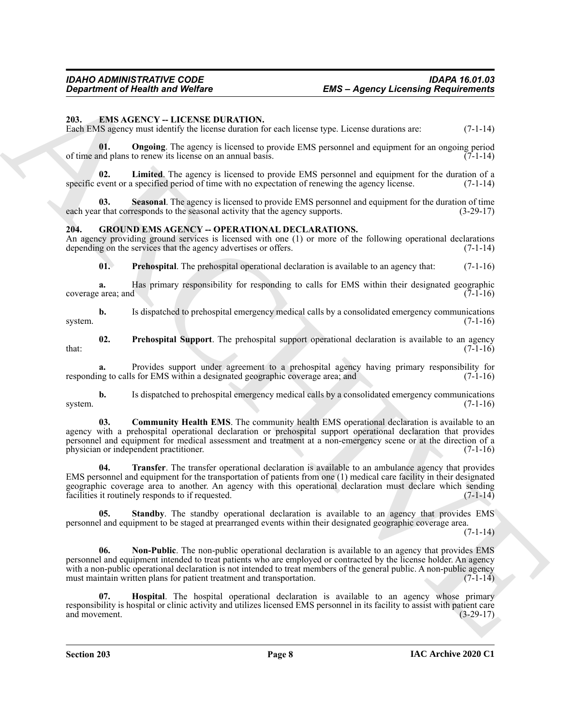#### <span id="page-7-2"></span><span id="page-7-0"></span>**203. EMS AGENCY -- LICENSE DURATION.**

Each EMS agency must identify the license duration for each license type. License durations are: (7-1-14)

<span id="page-7-4"></span>**01. Ongoing**. The agency is licensed to provide EMS personnel and equipment for an ongoing period of time and plans to renew its license on an annual basis. (7-1-14)

<span id="page-7-3"></span>**02. Limited**. The agency is licensed to provide EMS personnel and equipment for the duration of a specific event or a specified period of time with no expectation of renewing the agency license. (7-1-14)

<span id="page-7-5"></span>**03. Seasonal**. The agency is licensed to provide EMS personnel and equipment for the duration of time each year that corresponds to the seasonal activity that the agency supports. (3-29-17)

### <span id="page-7-6"></span><span id="page-7-1"></span>**204. GROUND EMS AGENCY -- OPERATIONAL DECLARATIONS.**

An agency providing ground services is licensed with one (1) or more of the following operational declarations depending on the services that the agency advertises or offers. (7-1-14)

<span id="page-7-10"></span>**01. Prehospital**. The prehospital operational declaration is available to an agency that: (7-1-16)

**a.** Has primary responsibility for responding to calls for EMS within their designated geographic coverage area; and (7-1-16)

**b.** Is dispatched to prehospital emergency medical calls by a consolidated emergency communications system.  $(7-1-16)$ 

<span id="page-7-11"></span>**02. Prehospital Support**. The prehospital support operational declaration is available to an agency  $\text{that:} \tag{7-1-16}$ 

**a.** Provides support under agreement to a prehospital agency having primary responsibility for responding to calls for EMS within a designated geographic coverage area; and (7-1-16)

**b.** Is dispatched to prehospital emergency medical calls by a consolidated emergency communications system.  $(7-1-16)$ 

<span id="page-7-7"></span>**03. Community Health EMS**. The community health EMS operational declaration is available to an agency with a prehospital operational declaration or prehospital support operational declaration that provides personnel and equipment for medical assessment and treatment at a non-emergency scene or at the direction of a physician or independent practitioner. (7-1-16)

<span id="page-7-13"></span>**04. Transfer**. The transfer operational declaration is available to an ambulance agency that provides EMS personnel and equipment for the transportation of patients from one (1) medical care facility in their designated geographic coverage area to another. An agency with this operational declaration must declare which sending facilities it routinely responds to if requested. (7-1-14)

<span id="page-7-12"></span><span id="page-7-9"></span>**05.** Standby. The standby operational declaration is available to an agency that provides EMS personnel and equipment to be staged at prearranged events within their designated geographic coverage area.

 $(7-1-14)$ 

**EXACUTE OF EXAMPLE SECTION CONTINUES.**<br> **EXACUTE CONFIDENTIAL CONTINUES.**<br>
The UNIVERSITY of LICENSI DEPARTION, the state of the state of the state of the state of the state of the state of the state of the state of the **06. Non-Public**. The non-public operational declaration is available to an agency that provides EMS personnel and equipment intended to treat patients who are employed or contracted by the license holder. An agency with a non-public operational declaration is not intended to treat members of the general public. A non-public agency must maintain written plans for patient treatment and transportation. (7-1-14)

<span id="page-7-8"></span>**07. Hospital**. The hospital operational declaration is available to an agency whose primary responsibility is hospital or clinic activity and utilizes licensed EMS personnel in its facility to assist with patient care and movement.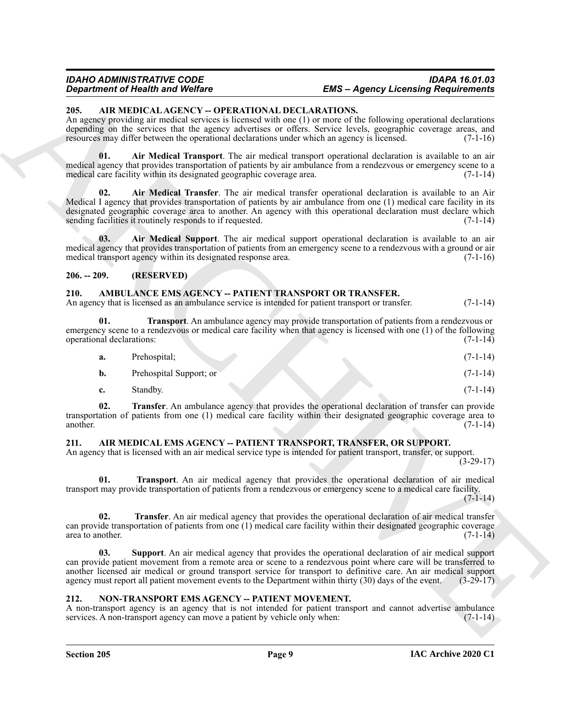#### *IDAHO ADMINISTRATIVE CODE IDAPA 16.01.03 Department of Health and Welfare EMS – Agency Licensing Requirements*

#### <span id="page-8-5"></span><span id="page-8-0"></span>**205. AIR MEDICAL AGENCY -- OPERATIONAL DECLARATIONS.**

An agency providing air medical services is licensed with one (1) or more of the following operational declarations depending on the services that the agency advertises or offers. Service levels, geographic coverage areas, and resources may differ between the operational declarations under which an agency is licensed. (7-1-16)

<span id="page-8-8"></span><span id="page-8-7"></span>**01. Air Medical Transport**. The air medical transport operational declaration is available to an air medical agency that provides transportation of patients by air ambulance from a rendezvous or emergency scene to a medical care facility within its designated geographic coverage area. (7-1-14)

**Strainer of Henrica Wolfrey Constraints Constraint CMS (EMS-Appler) Licensing Requirements<br>
28. ARCHIVES CALACHIVES - OPERATION AL BACTION AL PROCESSION CONSTRUCTION<br>
ARCHIVES AND ARCHIVES CONSTRUCTION OF THE CONSTRUCTI 02. Air Medical Transfer**. The air medical transfer operational declaration is available to an Air Medical I agency that provides transportation of patients by air ambulance from one (1) medical care facility in its designated geographic coverage area to another. An agency with this operational declaration must declare which sending facilities it routinely responds to if requested. (7-1-14) sending facilities it routinely responds to if requested.

<span id="page-8-6"></span>**03. Air Medical Support**. The air medical support operational declaration is available to an air medical agency that provides transportation of patients from an emergency scene to a rendezvous with a ground or air medical transport agency within its designated response area. (7-1-16)

### <span id="page-8-1"></span>**206. -- 209. (RESERVED)**

#### <span id="page-8-13"></span><span id="page-8-2"></span>**210. AMBULANCE EMS AGENCY -- PATIENT TRANSPORT OR TRANSFER.**

An agency that is licensed as an ambulance service is intended for patient transport or transfer. (7-1-14)

**01. Transport**. An ambulance agency may provide transportation of patients from a rendezvous or emergency scene to a rendezvous or medical care facility when that agency is licensed with one (1) of the following operational declarations: (7-1-14) operational declarations:

<span id="page-8-15"></span>

| а. | Prehospital; |  | $(7-1-14)$ |
|----|--------------|--|------------|
|    |              |  |            |

| Prehospital Support; or |  |  |  | $(7-1-14)$ |
|-------------------------|--|--|--|------------|
|                         |  |  |  |            |

<span id="page-8-14"></span>**c.** Standby. (7-1-14)

**02. Transfer**. An ambulance agency that provides the operational declaration of transfer can provide transportation of patients from one (1) medical care facility within their designated geographic coverage area to another. (7-1-14)

### <span id="page-8-9"></span><span id="page-8-3"></span>**211. AIR MEDICAL EMS AGENCY -- PATIENT TRANSPORT, TRANSFER, OR SUPPORT.**

An agency that is licensed with an air medical service type is intended for patient transport, transfer, or support. (3-29-17)

<span id="page-8-12"></span>**01. Transport**. An air medical agency that provides the operational declaration of air medical transport may provide transportation of patients from a rendezvous or emergency scene to a medical care facility.  $(7-1-14)$ 

<span id="page-8-11"></span>**02. Transfer**. An air medical agency that provides the operational declaration of air medical transfer can provide transportation of patients from one (1) medical care facility within their designated geographic coverage  $\arctan$  area to another. (7-1-14)

<span id="page-8-10"></span>**03. Support**. An air medical agency that provides the operational declaration of air medical support can provide patient movement from a remote area or scene to a rendezvous point where care will be transferred to another licensed air medical or ground transport service for transport to definitive care. An air medical support agency must report all patient movement events to the Department within thirty (30) days of the event. (3-29-17)

### <span id="page-8-16"></span><span id="page-8-4"></span>**212. NON-TRANSPORT EMS AGENCY -- PATIENT MOVEMENT.**

A non-transport agency is an agency that is not intended for patient transport and cannot advertise ambulance services. A non-transport agency can move a patient by vehicle only when: (7-1-14)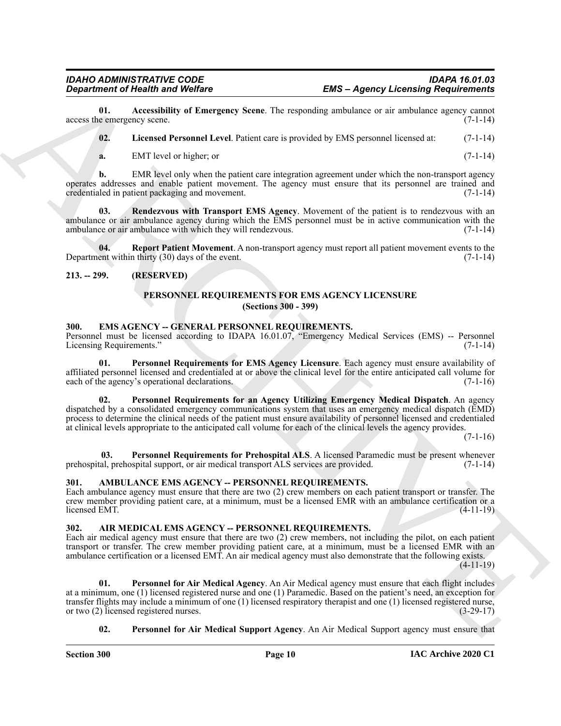**01.** Accessibility of Emergency Scene. The responding ambulance or air ambulance agency cannot e emergency scene. (7-1-14) access the emergency scene.

<span id="page-9-14"></span><span id="page-9-13"></span>**02. Licensed Personnel Level**. Patient care is provided by EMS personnel licensed at: (7-1-14)

<span id="page-9-15"></span>**a.** EMT level or higher; or (7-1-14)

**b.** EMR level only when the patient care integration agreement under which the non-transport agency operates addresses and enable patient movement. The agency must ensure that its personnel are trained and credentialed in patient packaging and movement. (7-1-14)

**Rendezvous with Transport EMS Agency**. Movement of the patient is to rendezvous with an ambulance or air ambulance agency during which the EMS personnel must be in active communication with the ambulance or air ambulance with which they will rendezvous. (7-1-14)

**04. Report Patient Movement**. A non-transport agency must report all patient movement events to the event within thirty (30) days of the event. Department within thirty  $(30)$  days of the event.

### <span id="page-9-1"></span><span id="page-9-0"></span>**213. -- 299. (RESERVED)**

### <span id="page-9-17"></span><span id="page-9-16"></span><span id="page-9-11"></span>**PERSONNEL REQUIREMENTS FOR EMS AGENCY LICENSURE (Sections 300 - 399)**

#### <span id="page-9-9"></span><span id="page-9-2"></span>**300. EMS AGENCY -- GENERAL PERSONNEL REQUIREMENTS.**

Personnel must be licensed according to IDAPA 16.01.07, "Emergency Medical Services (EMS) -- Personnel Licensing Requirements." (7-1-14)

**01. Personnel Requirements for EMS Agency Licensure**. Each agency must ensure availability of affiliated personnel licensed and credentialed at or above the clinical level for the entire anticipated call volume for each of the agency's operational declarations. (7-1-16)

<span id="page-9-10"></span>**02. Personnel Requirements for an Agency Utilizing Emergency Medical Dispatch**. An agency dispatched by a consolidated emergency communications system that uses an emergency medical dispatch (EMD) process to determine the clinical needs of the patient must ensure availability of personnel licensed and credentialed at clinical levels appropriate to the anticipated call volume for each of the clinical levels the agency provides.

 $(7-1-16)$ 

<span id="page-9-12"></span> **03. Personnel Requirements for Prehospital ALS**. A licensed Paramedic must be present whenever prehospital, prehospital support, or air medical transport ALS services are provided. (7-1-14)

### <span id="page-9-8"></span><span id="page-9-3"></span>**301. AMBULANCE EMS AGENCY -- PERSONNEL REQUIREMENTS.**

Each ambulance agency must ensure that there are two (2) crew members on each patient transport or transfer. The crew member providing patient care, at a minimum, must be a licensed EMR with an ambulance certification or a licensed EMT. (4-11-19)

### <span id="page-9-5"></span><span id="page-9-4"></span>**302. AIR MEDICAL EMS AGENCY -- PERSONNEL REQUIREMENTS.**

Each air medical agency must ensure that there are two (2) crew members, not including the pilot, on each patient transport or transfer. The crew member providing patient care, at a minimum, must be a licensed EMR with an ambulance certification or a licensed EMT. An air medical agency must also demonstrate that the following exists.  $(4-11-19)$ 

**EMS - Appenry Licensing Requirements**<br> **EMS - Appenry Licensing Requirements**<br>
Second, the consistent of the transport Second. Its capacital and the second of the second of the second of the second of the second of the s **01. Personnel for Air Medical Agency**. An Air Medical agency must ensure that each flight includes at a minimum, one (1) licensed registered nurse and one (1) Paramedic. Based on the patient's need, an exception for transfer flights may include a minimum of one (1) licensed respiratory therapist and one (1) licensed registered nurse, or two (2) licensed registered nurses. (3-29-17)

### <span id="page-9-7"></span><span id="page-9-6"></span>**02. Personnel for Air Medical Support Agency**. An Air Medical Support agency must ensure that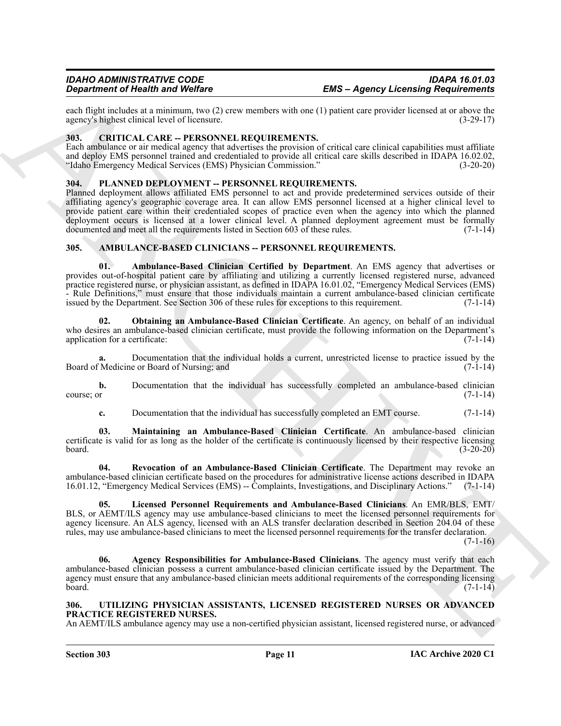each flight includes at a minimum, two (2) crew members with one (1) patient care provider licensed at or above the agency's highest clinical level of licensure. (3-29-17) agency's highest clinical level of licensure.

#### <span id="page-10-11"></span><span id="page-10-0"></span>**303. CRITICAL CARE -- PERSONNEL REQUIREMENTS.**

Each ambulance or air medical agency that advertises the provision of critical care clinical capabilities must affiliate and deploy EMS personnel trained and credentialed to provide all critical care skills described in IDAPA 16.02.02,<br>
"Idaho Emergency Medical Services (EMS) Physician Commission." (3-20-20) "Idaho Emergency Medical Services (EMS) Physician Commission."

#### <span id="page-10-12"></span><span id="page-10-1"></span>**304. PLANNED DEPLOYMENT -- PERSONNEL REQUIREMENTS.**

Planned deployment allows affiliated EMS personnel to act and provide predetermined services outside of their affiliating agency's geographic coverage area. It can allow EMS personnel licensed at a higher clinical level to provide patient care within their credentialed scopes of practice even when the agency into which the planned deployment occurs is licensed at a lower clinical level. A planned deployment agreement must be formally documented and meet all the requirements listed in Section 603 of these rules. (7-1-14)

#### <span id="page-10-6"></span><span id="page-10-4"></span><span id="page-10-2"></span>**305. AMBULANCE-BASED CLINICIANS -- PERSONNEL REQUIREMENTS.**

**EMP - Approximate of Heather School 21** and Welfax **Constraint Constraint Constraint Constraint Constraint Constraint Constraint Constraint Constraint Constraint Constraint Constraint Constraint Constraint Constraint Con 01. Ambulance-Based Clinician Certified by Department**. An EMS agency that advertises or provides out-of-hospital patient care by affiliating and utilizing a currently licensed registered nurse, advanced practice registered nurse, or physician assistant, as defined in IDAPA 16.01.02, "Emergency Medical Services (EMS) - Rule Definitions," must ensure that those individuals maintain a current ambulance-based clinician certificate issued by the Department. See Section 306 of these rules for exceptions to this requirement. (7-1-14)

<span id="page-10-9"></span>**02. Obtaining an Ambulance-Based Clinician Certificate**. An agency, on behalf of an individual who desires an ambulance-based clinician certificate, must provide the following information on the Department's application for a certificate: (7-1-14) (7-1-14)

**a.** Documentation that the individual holds a current, unrestricted license to practice issued by the Medicine or Board of Nursing; and (7-1-14) Board of Medicine or Board of Nursing; and

**b.** Documentation that the individual has successfully completed an ambulance-based clinician course; or (7-1-14)

<span id="page-10-10"></span><span id="page-10-8"></span>**c.** Documentation that the individual has successfully completed an EMT course.  $(7-1-14)$ 

**03. Maintaining an Ambulance-Based Clinician Certificate**. An ambulance-based clinician certificate is valid for as long as the holder of the certificate is continuously licensed by their respective licensing board. (3-20-20)

**04. Revocation of an Ambulance-Based Clinician Certificate**. The Department may revoke an ambulance-based clinician certificate based on the procedures for administrative license actions described in IDAPA 16.01.12, "Emergency Medical Services (EMS) -- Complaints, Investigations, and Disciplinary Actions." (7-1-14)

<span id="page-10-7"></span>**05. Licensed Personnel Requirements and Ambulance-Based Clinicians**. An EMR/BLS, EMT/ BLS, or AEMT/ILS agency may use ambulance-based clinicians to meet the licensed personnel requirements for agency licensure. An ALS agency, licensed with an ALS transfer declaration described in Section 204.04 of these rules, may use ambulance-based clinicians to meet the licensed personnel requirements for the transfer declaration.

 $(7-1-16)$ 

<span id="page-10-5"></span>**06. Agency Responsibilities for Ambulance-Based Clinicians**. The agency must verify that each ambulance-based clinician possess a current ambulance-based clinician certificate issued by the Department. The agency must ensure that any ambulance-based clinician meets additional requirements of the corresponding licensing board. (7-1-14)  $\frac{1}{2}$  board. (7-1-14)

#### <span id="page-10-13"></span><span id="page-10-3"></span>**306. UTILIZING PHYSICIAN ASSISTANTS, LICENSED REGISTERED NURSES OR ADVANCED PRACTICE REGISTERED NURSES.**

An AEMT/ILS ambulance agency may use a non-certified physician assistant, licensed registered nurse, or advanced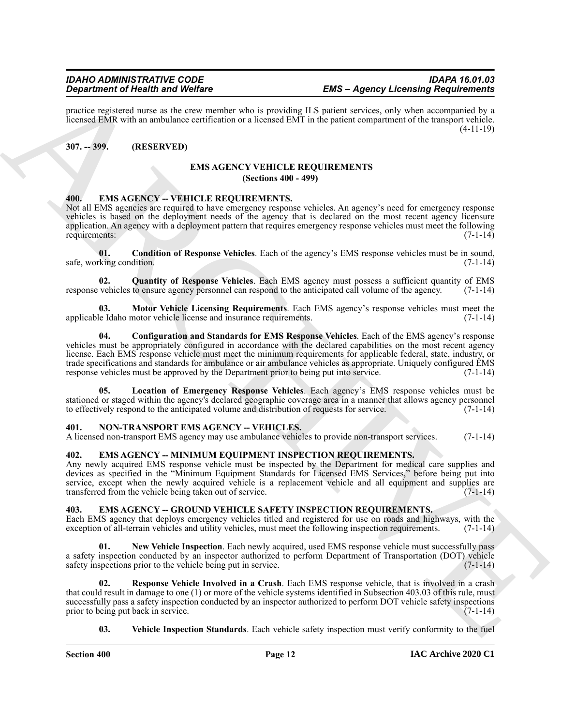practice registered nurse as the crew member who is providing ILS patient services, only when accompanied by a licensed EMR with an ambulance certification or a licensed EMT in the patient compartment of the transport vehicle. (4-11-19)

#### <span id="page-11-1"></span><span id="page-11-0"></span>**307. -- 399. (RESERVED)**

#### <span id="page-11-17"></span> **EMS AGENCY VEHICLE REQUIREMENTS (Sections 400 - 499)**

#### <span id="page-11-11"></span><span id="page-11-2"></span>**400. EMS AGENCY -- VEHICLE REQUIREMENTS.**

Not all EMS agencies are required to have emergency response vehicles. An agency's need for emergency response vehicles is based on the deployment needs of the agency that is declared on the most recent agency licensure application. An agency with a deployment pattern that requires emergency response vehicles must meet the following requirements: (7-1-14)

<span id="page-11-12"></span>**01. Condition of Response Vehicles**. Each of the agency's EMS response vehicles must be in sound, safe, working condition. (7-1-14) (3.3)

<span id="page-11-16"></span>**02. Quantity of Response Vehicles**. Each EMS agency must possess a sufficient quantity of EMS response vehicles to ensure agency personnel can respond to the anticipated call volume of the agency. (7-1-14)

<span id="page-11-15"></span><span id="page-11-13"></span>**Motor Vehicle Licensing Requirements**. Each EMS agency's response vehicles must meet the notor vehicle license and insurance requirements. applicable Idaho motor vehicle license and insurance requirements.

**Equivariant of Neumann Website Learning International System SMS can be a specific learning the specific learning the specific learning the specific learning the specific learning the specific learning the specific learn 04. Configuration and Standards for EMS Response Vehicles**. Each of the EMS agency's response vehicles must be appropriately configured in accordance with the declared capabilities on the most recent agency license. Each EMS response vehicle must meet the minimum requirements for applicable federal, state, industry, or trade specifications and standards for ambulance or air ambulance vehicles as appropriate. Uniquely configured EMS<br>response vehicles must be approved by the Department prior to being put into service. (7-1-14) response vehicles must be approved by the Department prior to being put into service.

<span id="page-11-14"></span>**05. Location of Emergency Response Vehicles**. Each agency's EMS response vehicles must be stationed or staged within the agency's declared geographic coverage area in a manner that allows agency personnel to effectively respond to the anticipated volume and distribution of requests for service. (7-1-14)

#### <span id="page-11-18"></span><span id="page-11-3"></span>**401. NON-TRANSPORT EMS AGENCY -- VEHICLES.**

A licensed non-transport EMS agency may use ambulance vehicles to provide non-transport services. (7-1-14)

#### <span id="page-11-10"></span><span id="page-11-4"></span>**402. EMS AGENCY -- MINIMUM EQUIPMENT INSPECTION REQUIREMENTS.**

Any newly acquired EMS response vehicle must be inspected by the Department for medical care supplies and devices as specified in the "Minimum Equipment Standards for Licensed EMS Services," before being put into service, except when the newly acquired vehicle is a replacement vehicle and all equipment and supplies are transferred from the vehicle being taken out of service. (7-1-14)

#### <span id="page-11-6"></span><span id="page-11-5"></span>**403. EMS AGENCY -- GROUND VEHICLE SAFETY INSPECTION REQUIREMENTS.**

Each EMS agency that deploys emergency vehicles titled and registered for use on roads and highways, with the exception of all-terrain vehicles and utility vehicles, must meet the following inspection requirements. (7-1-14 exception of all-terrain vehicles and utility vehicles, must meet the following inspection requirements.

<span id="page-11-7"></span>**01. New Vehicle Inspection**. Each newly acquired, used EMS response vehicle must successfully pass a safety inspection conducted by an inspector authorized to perform Department of Transportation (DOT) vehicle safety inspections prior to the vehicle being put in service. (7-1-14) safety inspections prior to the vehicle being put in service.

**02. Response Vehicle Involved in a Crash**. Each EMS response vehicle, that is involved in a crash that could result in damage to one (1) or more of the vehicle systems identified in Subsection 403.03 of this rule, must successfully pass a safety inspection conducted by an inspector authorized to perform DOT vehicle safety inspections prior to being put back in service. (7-1-14)

<span id="page-11-9"></span><span id="page-11-8"></span>**03. Vehicle Inspection Standards**. Each vehicle safety inspection must verify conformity to the fuel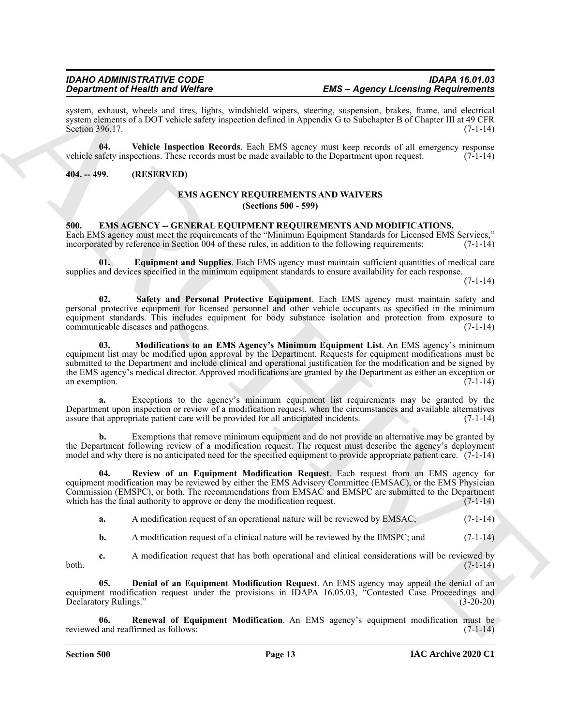system, exhaust, wheels and tires, lights, windshield wipers, steering, suspension, brakes, frame, and electrical system elements of a DOT vehicle safety inspection defined in Appendix G to Subchapter B of Chapter III at 49 CFR Section 396.17. (7-1-14)

<span id="page-12-10"></span>**04. Vehicle Inspection Records**. Each EMS agency must keep records of all emergency response vehicle safety inspections. These records must be made available to the Department upon request. (7-1-14)

#### <span id="page-12-1"></span><span id="page-12-0"></span>**404. -- 499. (RESERVED)**

#### <span id="page-12-11"></span>**EMS AGENCY REQUIREMENTS AND WAIVERS (Sections 500 - 599)**

<span id="page-12-3"></span><span id="page-12-2"></span>**500. EMS AGENCY -- GENERAL EQUIPMENT REQUIREMENTS AND MODIFICATIONS.** Each EMS agency must meet the requirements of the "Minimum Equipment Standards for Licensed EMS Services," incorporated by reference in Section 004 of these rules, in addition to the following requirements: (7-1-14)

<span id="page-12-5"></span>**01. Equipment and Supplies**. Each EMS agency must maintain sufficient quantities of medical care supplies and devices specified in the minimum equipment standards to ensure availability for each response.

 $(7-1-14)$ 

<span id="page-12-9"></span><span id="page-12-6"></span>**02. Safety and Personal Protective Equipment**. Each EMS agency must maintain safety and personal protective equipment for licensed personnel and other vehicle occupants as specified in the minimum equipment standards. This includes equipment for body substance isolation and protection from exposure to communicable diseases and pathogens. (7-1-14)

**Experimental de la metallonistica (m. 1886)**<br>
Spacina de Médica (m. 1894)<br>
Archives de la metallonistica (m. 1895)<br>
Archives de la metallonistica (m. 1895)<br>
Archives de la metallonistica (m. 1895)<br>

Registere de la metal **03. Modifications to an EMS Agency's Minimum Equipment List**. An EMS agency's minimum equipment list may be modified upon approval by the Department. Requests for equipment modifications must be submitted to the Department and include clinical and operational justification for the modification and be signed by the EMS agency's medical director. Approved modifications are granted by the Department as either an exception or an exemption.  $(7-1-14)$ 

**a.** Exceptions to the agency's minimum equipment list requirements may be granted by the Department upon inspection or review of a modification request, when the circumstances and available alternatives assure that appropriate patient care will be provided for all anticipated incidents. (7-1-14)

**b.** Exemptions that remove minimum equipment and do not provide an alternative may be granted by the Department following review of a modification request. The request must describe the agency's deployment model and why there is no anticipated need for the specified equipment to provide appropriate patient care. (7-1-14)

**04. Review of an Equipment Modification Request**. Each request from an EMS agency for equipment modification may be reviewed by either the EMS Advisory Committee (EMSAC), or the EMS Physician Commission (EMSPC), or both. The recommendations from EMSAC and EMSPC are submitted to the Department which has the final authority to approve or deny the modification request.  $(7-1-14)$ 

<span id="page-12-8"></span>**a.** A modification request of an operational nature will be reviewed by EMSAC;  $(7-1-14)$ 

<span id="page-12-4"></span>**b.** A modification request of a clinical nature will be reviewed by the EMSPC; and  $(7-1-14)$ 

**c.** A modification request that has both operational and clinical considerations will be reviewed by  $(7-1-14)$  $b$ oth.  $(7-1-14)$ 

**05. Denial of an Equipment Modification Request**. An EMS agency may appeal the denial of an equipment modification request under the provisions in IDAPA 16.05.03, "Contested Case Proceedings and Declaratory Rulings." (3-20-20)

<span id="page-12-7"></span>**06. Renewal of Equipment Modification**. An EMS agency's equipment modification must be reviewed and reaffirmed as follows: (7-1-14)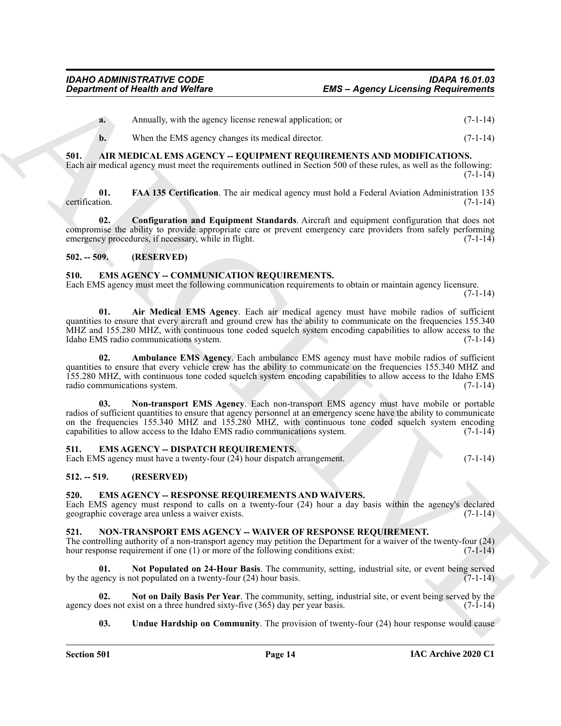<span id="page-13-7"></span>

| Annually, with the agency license renewal application; or | $(7-1-14)$ |
|-----------------------------------------------------------|------------|
| When the EMS agency changes its medical director.         | $(7-1-14)$ |

### <span id="page-13-0"></span>**501. AIR MEDICAL EMS AGENCY -- EQUIPMENT REQUIREMENTS AND MODIFICATIONS.**

Each air medical agency must meet the requirements outlined in Section 500 of these rules, as well as the following:  $(7-1-14)$ 

<span id="page-13-9"></span>**01. FAA 135 Certification**. The air medical agency must hold a Federal Aviation Administration 135 certification. (7-1-14)

<span id="page-13-8"></span>**02. Configuration and Equipment Standards**. Aircraft and equipment configuration that does not compromise the ability to provide appropriate care or prevent emergency care providers from safely performing emergency procedures, if necessary, while in flight. (7-1-14) (7-1-14)

### <span id="page-13-1"></span>**502. -- 509. (RESERVED)**

#### <span id="page-13-10"></span><span id="page-13-2"></span>**510. EMS AGENCY -- COMMUNICATION REQUIREMENTS.**

Each EMS agency must meet the following communication requirements to obtain or maintain agency licensure.

 $(7-1-14)$ 

<span id="page-13-11"></span>**01. Air Medical EMS Agency**. Each air medical agency must have mobile radios of sufficient quantities to ensure that every aircraft and ground crew has the ability to communicate on the frequencies 155.340 MHZ and 155.280 MHZ, with continuous tone coded squelch system encoding capabilities to allow access to the Idaho EMS radio communications system. Idaho EMS radio communications system.

<span id="page-13-13"></span><span id="page-13-12"></span>**02. Ambulance EMS Agency**. Each ambulance EMS agency must have mobile radios of sufficient quantities to ensure that every vehicle crew has the ability to communicate on the frequencies 155.340 MHZ and 155.280 MHZ, with continuous tone coded squelch system encoding capabilities to allow access to the Idaho EMS radio communications system.

**EMS - Agency Licensing Requirements**<br> **EMS - Agency Licensing Requirements**<br>
A Amerika, with the space of the space of products or<br>
A Meant by the space of the space of products or<br> **ARCHIVE AND SCRIP CONTINUOS** (FOR THE **03. Non-transport EMS Agency**. Each non-transport EMS agency must have mobile or portable radios of sufficient quantities to ensure that agency personnel at an emergency scene have the ability to communicate on the frequencies 155.340 MHZ and 155.280 MHZ, with continuous tone coded squelch system encoding capabilities to allow access to the Idaho EMS radio communications system. (7-1-14)

### <span id="page-13-14"></span><span id="page-13-3"></span>**511. EMS AGENCY -- DISPATCH REQUIREMENTS.**

Each EMS agency must have a twenty-four (24) hour dispatch arrangement. (7-1-14)

### <span id="page-13-4"></span>**512. -- 519. (RESERVED)**

### <span id="page-13-15"></span><span id="page-13-5"></span>**520. EMS AGENCY -- RESPONSE REQUIREMENTS AND WAIVERS.**

Each EMS agency must respond to calls on a twenty-four (24) hour a day basis within the agency's declared geographic coverage area unless a waiver exists. (7-1-14)

### <span id="page-13-16"></span><span id="page-13-6"></span>**521. NON-TRANSPORT EMS AGENCY -- WAIVER OF RESPONSE REQUIREMENT.**

The controlling authority of a non-transport agency may petition the Department for a waiver of the twenty-four (24) hour response requirement if one (1) or more of the following conditions exist:  $(7-1-14)$ 

<span id="page-13-18"></span>**01. Not Populated on 24-Hour Basis**. The community, setting, industrial site, or event being served by the agency is not populated on a twenty-four  $(24)$  hour basis.  $(7-1-14)$ 

**02.** Not on Daily Basis Per Year. The community, setting, industrial site, or event being served by the oes not exist on a three hundred sixty-five (365) day per year basis. (7-1-14) agency does not exist on a three hundred sixty-five (365) day per year basis.

#### <span id="page-13-19"></span><span id="page-13-17"></span>**03.** Undue Hardship on Community. The provision of twenty-four (24) hour response would cause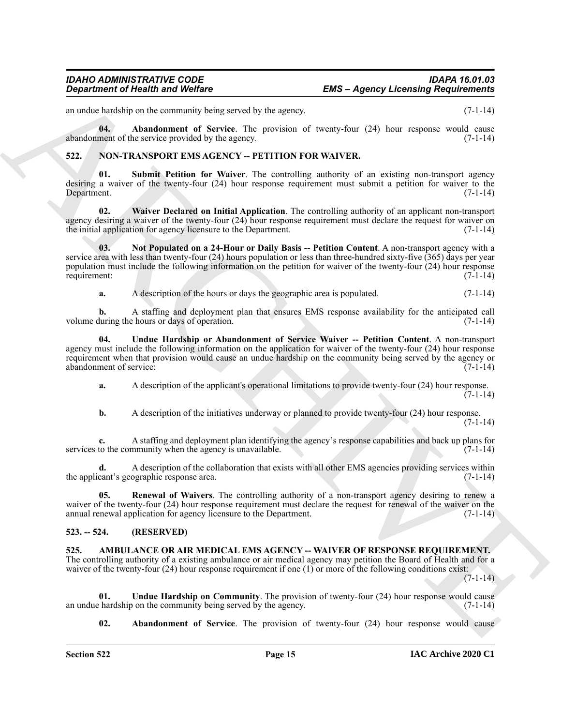<span id="page-14-12"></span>an undue hardship on the community being served by the agency. (7-1-14)

**04. Abandonment of Service**. The provision of twenty-four (24) hour response would cause abandonment of the service provided by the agency. (7-1-14)

#### <span id="page-14-6"></span><span id="page-14-0"></span>**522. NON-TRANSPORT EMS AGENCY -- PETITION FOR WAIVER.**

<span id="page-14-9"></span>**01. Submit Petition for Waiver**. The controlling authority of an existing non-transport agency desiring a waiver of the twenty-four (24) hour response requirement must submit a petition for waiver to the Department. (7-1-14)

<span id="page-14-11"></span>**02. Waiver Declared on Initial Application**. The controlling authority of an applicant non-transport agency desiring a waiver of the twenty-four (24) hour response requirement must declare the request for waiver on the initial application for agency licensure to the Department. (7-1-14)

**Expariment of Nearly is and Wolfing<br>
consideration of Nearly Wolfing<br>
consideration of the second by the second<br>
consideration of the second by the second by the second by the second<br>
consideration of the second particle 03. Not Populated on a 24-Hour or Daily Basis -- Petition Content**. A non-transport agency with a service area with less than twenty-four (24) hours population or less than three-hundred sixty-five (365) days per year population must include the following information on the petition for waiver of the twenty-four (24) hour response requirement: (7-1-14)

<span id="page-14-10"></span><span id="page-14-7"></span>**a.** A description of the hours or days the geographic area is populated. (7-1-14)

**b.** A staffing and deployment plan that ensures EMS response availability for the anticipated call volume during the hours or days of operation. (7-1-14)

**04. Undue Hardship or Abandonment of Service Waiver -- Petition Content**. A non-transport agency must include the following information on the application for waiver of the twenty-four (24) hour response requirement when that provision would cause an undue hardship on the community being served by the agency or abandonment of service: (7-1-14)

**a.** A description of the applicant's operational limitations to provide twenty-four (24) hour response.  $(7-1-14)$ 

**b.** A description of the initiatives underway or planned to provide twenty-four (24) hour response. (7-1-14)

**c.** A staffing and deployment plan identifying the agency's response capabilities and back up plans for services to the community when the agency is unavailable. (7-1-14)

**d.** A description of the collaboration that exists with all other EMS agencies providing services within the applicant's geographic response area. (7-1-14)

<span id="page-14-8"></span>**05. Renewal of Waivers**. The controlling authority of a non-transport agency desiring to renew a waiver of the twenty-four (24) hour response requirement must declare the request for renewal of the waiver on the annual renewal application for agency licensure to the Department. (7-1-14)

### <span id="page-14-1"></span>**523. -- 524. (RESERVED)**

<span id="page-14-3"></span><span id="page-14-2"></span>**525. AMBULANCE OR AIR MEDICAL EMS AGENCY -- WAIVER OF RESPONSE REQUIREMENT.** The controlling authority of a existing ambulance or air medical agency may petition the Board of Health and for a waiver of the twenty-four (24) hour response requirement if one (1) or more of the following conditions exist:

 $(7-1-14)$ 

**01.** Undue Hardship on Community. The provision of twenty-four (24) hour response would cause hardship on the community being served by the agency. (7-1-14) an undue hardship on the community being served by the agency.

<span id="page-14-5"></span><span id="page-14-4"></span>**02. Abandonment of Service**. The provision of twenty-four (24) hour response would cause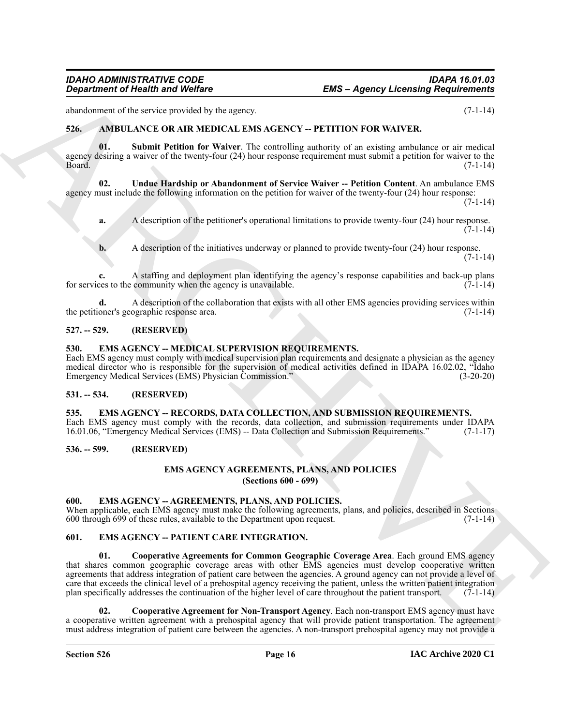abandonment of the service provided by the agency. (7-1-14)

#### <span id="page-15-9"></span><span id="page-15-0"></span>**526. AMBULANCE OR AIR MEDICAL EMS AGENCY -- PETITION FOR WAIVER.**

<span id="page-15-10"></span>**01. Submit Petition for Waiver**. The controlling authority of an existing ambulance or air medical agency desiring a waiver of the twenty-four (24) hour response requirement must submit a petition for waiver to the<br>(7-1-14) Board. (7-1-14)

**02. Undue Hardship or Abandonment of Service Waiver -- Petition Content**. An ambulance EMS agency must include the following information on the petition for waiver of the twenty-four (24) hour response:  $(7-1-14)$ 

<span id="page-15-11"></span>**a.** A description of the petitioner's operational limitations to provide twenty-four (24) hour response.  $(7-1-14)$ 

**b.** A description of the initiatives underway or planned to provide twenty-four (24) hour response.  $(7-1-14)$ 

**c.** A staffing and deployment plan identifying the agency's response capabilities and back-up plans for services to the community when the agency is unavailable.  $(7-1-14)$ 

**d.** A description of the collaboration that exists with all other EMS agencies providing services within the petitioner's geographic response area. (7-1-14)

#### <span id="page-15-1"></span>**527. -- 529. (RESERVED)**

#### <span id="page-15-13"></span><span id="page-15-2"></span>**530. EMS AGENCY -- MEDICAL SUPERVISION REQUIREMENTS.**

Each EMS agency must comply with medical supervision plan requirements and designate a physician as the agency medical director who is responsible for the supervision of medical activities defined in IDAPA 16.02.02, "Idaho Emergency Medical Services (EMS) Physician Commission." (3-20-20)

#### <span id="page-15-3"></span>**531. -- 534. (RESERVED)**

<span id="page-15-17"></span><span id="page-15-4"></span>**535. EMS AGENCY -- RECORDS, DATA COLLECTION, AND SUBMISSION REQUIREMENTS.** Each EMS agency must comply with the records, data collection, and submission requirements under IDAPA 16.01.06, "Emergency Medical Services (EMS) -- Data Collection and Submission Requirements." (7-1-17)

#### <span id="page-15-6"></span><span id="page-15-5"></span>**536. -- 599. (RESERVED)**

# <span id="page-15-18"></span>**EMS AGENCY AGREEMENTS, PLANS, AND POLICIES**

**(Sections 600 - 699)**

#### <span id="page-15-12"></span><span id="page-15-7"></span>**600. EMS AGENCY -- AGREEMENTS, PLANS, AND POLICIES.**

When applicable, each EMS agency must make the following agreements, plans, and policies, described in Sections 600 through 699 of these rules, available to the Department upon request. (7-1-14)

### <span id="page-15-16"></span><span id="page-15-14"></span><span id="page-15-8"></span>**601. EMS AGENCY -- PATIENT CARE INTEGRATION.**

**EMS - Agency Licensing Requirements**<br>
State AWINE ARCHIVE CONTINUES (Section 1998)<br>
State AWINE ARCHIVE CONTINUES (Section 1998)<br>
State AWINE ARCHIVE CONTINUES (Section 1998)<br>
The Continues of the Marchive Registered Con **01. Cooperative Agreements for Common Geographic Coverage Area**. Each ground EMS agency that shares common geographic coverage areas with other EMS agencies must develop cooperative written agreements that address integration of patient care between the agencies. A ground agency can not provide a level of care that exceeds the clinical level of a prehospital agency receiving the patient, unless the written patient integration plan specifically addresses the continuation of the higher level of care throughout the patient transport. (7-1-14)

<span id="page-15-15"></span>**02. Cooperative Agreement for Non-Transport Agency**. Each non-transport EMS agency must have a cooperative written agreement with a prehospital agency that will provide patient transportation. The agreement must address integration of patient care between the agencies. A non-transport prehospital agency may not provide a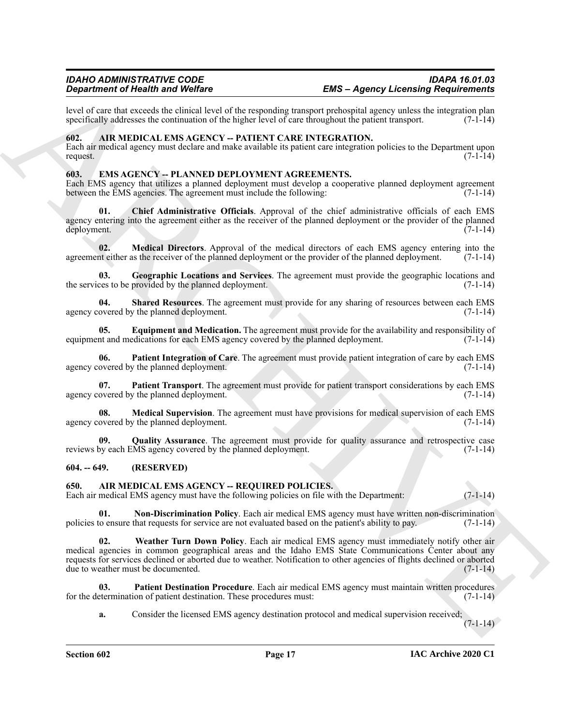level of care that exceeds the clinical level of the responding transport prehospital agency unless the integration plan specifically addresses the continuation of the higher level of care throughout the patient transport. specifically addresses the continuation of the higher level of care throughout the patient transport.

#### <span id="page-16-4"></span><span id="page-16-0"></span>**602. AIR MEDICAL EMS AGENCY -- PATIENT CARE INTEGRATION.**

Each air medical agency must declare and make available its patient care integration policies to the Department upon request.  $(7-1-14)$ 

#### <span id="page-16-9"></span><span id="page-16-1"></span>**603. EMS AGENCY -- PLANNED DEPLOYMENT AGREEMENTS.**

Each EMS agency that utilizes a planned deployment must develop a cooperative planned deployment agreement between the EMS agencies. The agreement must include the following: (7-1-14)

<span id="page-16-10"></span>**01. Chief Administrative Officials**. Approval of the chief administrative officials of each EMS agency entering into the agreement either as the receiver of the planned deployment or the provider of the planned deployment. (7-1-14)

<span id="page-16-13"></span>**02. Medical Directors**. Approval of the medical directors of each EMS agency entering into the net either as the receiver of the planned deployment or the provider of the planned deployment. (7-1-14) agreement either as the receiver of the planned deployment or the provider of the planned deployment.

<span id="page-16-12"></span>**03.** Geographic Locations and Services. The agreement must provide the geographic locations and ces to be provided by the planned deployment. the services to be provided by the planned deployment.

<span id="page-16-18"></span>**04. Shared Resources**. The agreement must provide for any sharing of resources between each EMS agency covered by the planned deployment. (7-1-14)

<span id="page-16-11"></span>**05. Equipment and Medication.** The agreement must provide for the availability and responsibility of nt and medications for each EMS agency covered by the planned deployment. (7-1-14) equipment and medications for each EMS agency covered by the planned deployment.

<span id="page-16-15"></span>**06. Patient Integration of Care**. The agreement must provide patient integration of care by each EMS agency covered by the planned deployment. (7-1-14)

<span id="page-16-16"></span>**07. Patient Transport**. The agreement must provide for patient transport considerations by each EMS agency covered by the planned deployment. (7-1-14)

<span id="page-16-14"></span>**08.** Medical Supervision. The agreement must have provisions for medical supervision of each EMS overed by the planned deployment. (7-1-14) agency covered by the planned deployment.

<span id="page-16-17"></span>**09. Quality Assurance**. The agreement must provide for quality assurance and retrospective case reviews by each EMS agency covered by the planned deployment. (7-1-14)

#### <span id="page-16-2"></span>**604. -- 649. (RESERVED)**

#### <span id="page-16-5"></span><span id="page-16-3"></span>**650. AIR MEDICAL EMS AGENCY -- REQUIRED POLICIES.**

Each air medical EMS agency must have the following policies on file with the Department: (7-1-14)

<span id="page-16-8"></span><span id="page-16-6"></span>**01. Non-Discrimination Policy**. Each air medical EMS agency must have written non-discrimination to ensure that requests for service are not evaluated based on the patient's ability to pay. (7-1-14) policies to ensure that requests for service are not evaluated based on the patient's ability to pay.

**Experimental definition of Weblast Control of the required transformation of the space Linear Control of the relationship of the relationship of the relationship of the relationship of the relationship of the relationshi Weather Turn Down Policy**. Each air medical EMS agency must immediately notify other air medical agencies in common geographical areas and the Idaho EMS State Communications Center about any requests for services declined or aborted due to weather. Notification to other agencies of flights declined or aborted due to weather must be documented. (7-1-14)

**03. Patient Destination Procedure**. Each air medical EMS agency must maintain written procedures for the determination of patient destination. These procedures must: (7-1-14)

<span id="page-16-7"></span>**a.** Consider the licensed EMS agency destination protocol and medical supervision received;

 $(7-1-14)$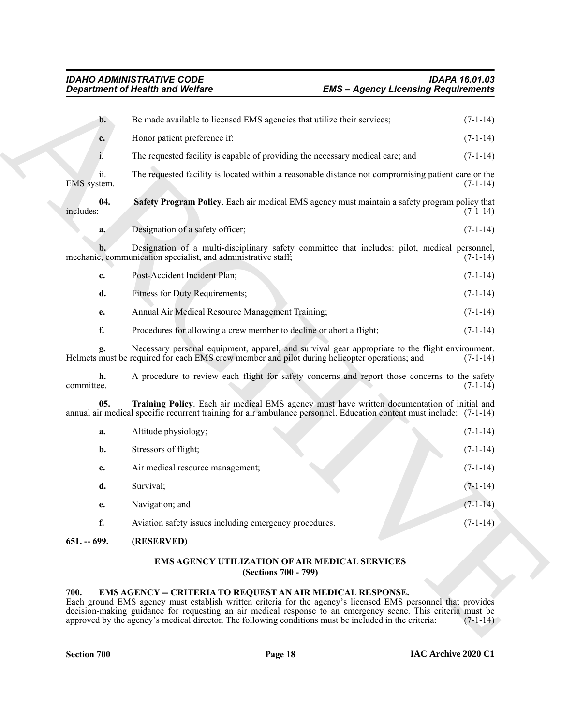<span id="page-17-3"></span>

|                    | <b>Department of Health and Welfare</b>                                                                                                                                                                                                                                                                                                                                                                    | <b>EMS - Agency Licensing Requirements</b> |            |  |
|--------------------|------------------------------------------------------------------------------------------------------------------------------------------------------------------------------------------------------------------------------------------------------------------------------------------------------------------------------------------------------------------------------------------------------------|--------------------------------------------|------------|--|
| $\mathbf{b}$ .     | Be made available to licensed EMS agencies that utilize their services;                                                                                                                                                                                                                                                                                                                                    |                                            | $(7-1-14)$ |  |
| c.                 | Honor patient preference if:                                                                                                                                                                                                                                                                                                                                                                               |                                            | $(7-1-14)$ |  |
| 1.                 | The requested facility is capable of providing the necessary medical care; and                                                                                                                                                                                                                                                                                                                             |                                            | $(7-1-14)$ |  |
| ii.<br>EMS system. | The requested facility is located within a reasonable distance not compromising patient care or the                                                                                                                                                                                                                                                                                                        |                                            | $(7-1-14)$ |  |
| 04.<br>includes:   | Safety Program Policy. Each air medical EMS agency must maintain a safety program policy that                                                                                                                                                                                                                                                                                                              |                                            | $(7-1-14)$ |  |
| a.                 | Designation of a safety officer;                                                                                                                                                                                                                                                                                                                                                                           |                                            | $(7-1-14)$ |  |
| b.                 | Designation of a multi-disciplinary safety committee that includes: pilot, medical personnel,<br>mechanic, communication specialist, and administrative staff;                                                                                                                                                                                                                                             |                                            | $(7-1-14)$ |  |
| c.                 | Post-Accident Incident Plan;                                                                                                                                                                                                                                                                                                                                                                               |                                            | $(7-1-14)$ |  |
| d.                 | Fitness for Duty Requirements;                                                                                                                                                                                                                                                                                                                                                                             |                                            | $(7-1-14)$ |  |
| e.                 | Annual Air Medical Resource Management Training;                                                                                                                                                                                                                                                                                                                                                           |                                            | $(7-1-14)$ |  |
| f.                 | Procedures for allowing a crew member to decline or abort a flight;                                                                                                                                                                                                                                                                                                                                        |                                            | $(7-1-14)$ |  |
| g.                 | Necessary personal equipment, apparel, and survival gear appropriate to the flight environment.<br>Helmets must be required for each EMS crew member and pilot during helicopter operations; and                                                                                                                                                                                                           |                                            | $(7-1-14)$ |  |
| h.<br>committee.   | A procedure to review each flight for safety concerns and report those concerns to the safety                                                                                                                                                                                                                                                                                                              |                                            | $(7-1-14)$ |  |
| 05.                | Training Policy. Each air medical EMS agency must have written documentation of initial and<br>annual air medical specific recurrent training for air ambulance personnel. Education content must include: (7-1-14)                                                                                                                                                                                        |                                            |            |  |
| a.                 | Altitude physiology;                                                                                                                                                                                                                                                                                                                                                                                       |                                            | $(7-1-14)$ |  |
| b.                 | Stressors of flight;                                                                                                                                                                                                                                                                                                                                                                                       |                                            | $(7-1-14)$ |  |
| c.                 | Air medical resource management;                                                                                                                                                                                                                                                                                                                                                                           |                                            | $(7-1-14)$ |  |
| d.                 | Survival;                                                                                                                                                                                                                                                                                                                                                                                                  |                                            | $(7-1-14)$ |  |
| e.                 | Navigation; and                                                                                                                                                                                                                                                                                                                                                                                            |                                            | $(7-1-14)$ |  |
| f.                 | Aviation safety issues including emergency procedures.                                                                                                                                                                                                                                                                                                                                                     |                                            | $(7-1-14)$ |  |
| $651. - 699.$      | (RESERVED)                                                                                                                                                                                                                                                                                                                                                                                                 |                                            |            |  |
|                    | EMS AGENCY UTILIZATION OF AIR MEDICAL SERVICES<br>(Sections 700 - 799)                                                                                                                                                                                                                                                                                                                                     |                                            |            |  |
| 700.               | <b>EMS AGENCY -- CRITERIA TO REQUEST AN AIR MEDICAL RESPONSE.</b><br>Each ground EMS agency must establish written criteria for the agency's licensed EMS personnel that provides<br>decision-making guidance for requesting an air medical response to an emergency scene. This criteria must be<br>approved by the agency's medical director. The following conditions must be included in the criteria: |                                            | $(7-1-14)$ |  |

### <span id="page-17-6"></span><span id="page-17-4"></span>**EMS AGENCY UTILIZATION OF AIR MEDICAL SERVICES (Sections 700 - 799)**

### <span id="page-17-5"></span><span id="page-17-2"></span><span id="page-17-1"></span><span id="page-17-0"></span>**700. EMS AGENCY -- CRITERIA TO REQUEST AN AIR MEDICAL RESPONSE.**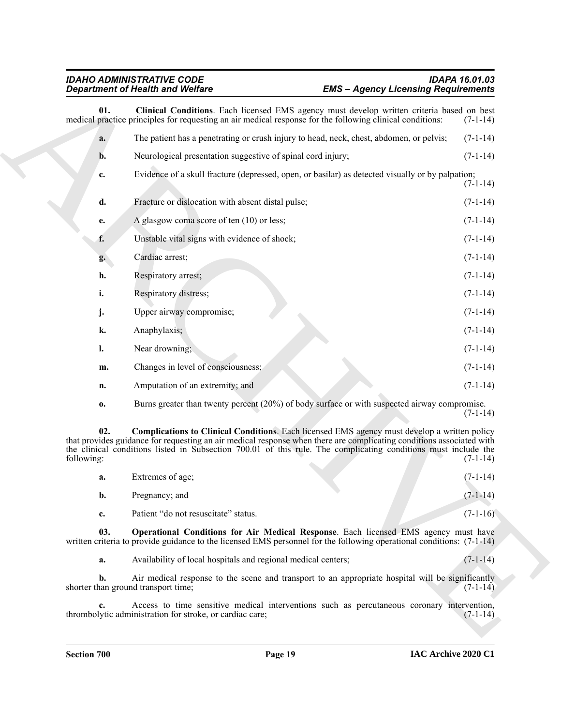<span id="page-18-0"></span>**Expanding the Vietnice of the state of the state of the state of the state of the state of the state of the state of the state of the state of the state of the state of the state of the state of the state of the state of 01.** Clinical Conditions. Each licensed EMS agency must develop written criteria based on best practice principles for requesting an air medical response for the following clinical conditions: (7-1-14) medical practice principles for requesting an air medical response for the following clinical conditions: **a.** The patient has a penetrating or crush injury to head, neck, chest, abdomen, or pelvis; (7-1-14) **b.** Neurological presentation suggestive of spinal cord injury;  $(7-1-14)$ **c.** Evidence of a skull fracture (depressed, open, or basilar) as detected visually or by palpation; (7-1-14) **d.** Fracture or dislocation with absent distal pulse; (7-1-14) **e.** A glasgow coma score of ten (10) or less; (7-1-14) **f.** Unstable vital signs with evidence of shock; (7-1-14) **g.** Cardiac arrest; (7-1-14) **h.** Respiratory arrest; (7-1-14) **i.** Respiratory distress;  $(7-1-14)$ **j.** Upper airway compromise; (7-1-14) **k.** Anaphylaxis; (7-1-14) **l.** Near drowning; (7-1-14) **m.** Changes in level of consciousness; (7-1-14) **n.** Amputation of an extremity; and (7-1-14) **o.** Burns greater than twenty percent (20%) of body surface or with suspected airway compromise.

<span id="page-18-1"></span> $(7-1-14)$ **02. Complications to Clinical Conditions**. Each licensed EMS agency must develop a written policy that provides guidance for requesting an air medical response when there are complicating conditions associated with the clinical conditions listed in Subsection 700.01 of this rule. The complicating conditions must include the

| following: |                                      |  | $(7-1-14)$ |
|------------|--------------------------------------|--|------------|
| a.         | Extremes of age;                     |  | $(7-1-14)$ |
| b.         | Pregnancy; and                       |  | $(7-1-14)$ |
| c.         | Patient "do not resuscitate" status. |  | $(7-1-16)$ |

**03. Operational Conditions for Air Medical Response**. Each licensed EMS agency must have written criteria to provide guidance to the licensed EMS personnel for the following operational conditions: (7-1-14)

<span id="page-18-2"></span>**a.** Availability of local hospitals and regional medical centers;  $(7-1-14)$ 

**b.** Air medical response to the scene and transport to an appropriate hospital will be significantly shorter than ground transport time; (7-1-14)

**c.** Access to time sensitive medical interventions such as percutaneous coronary intervention, lytic administration for stroke, or cardiac care; (7-1-14) thrombolytic administration for stroke, or cardiac care;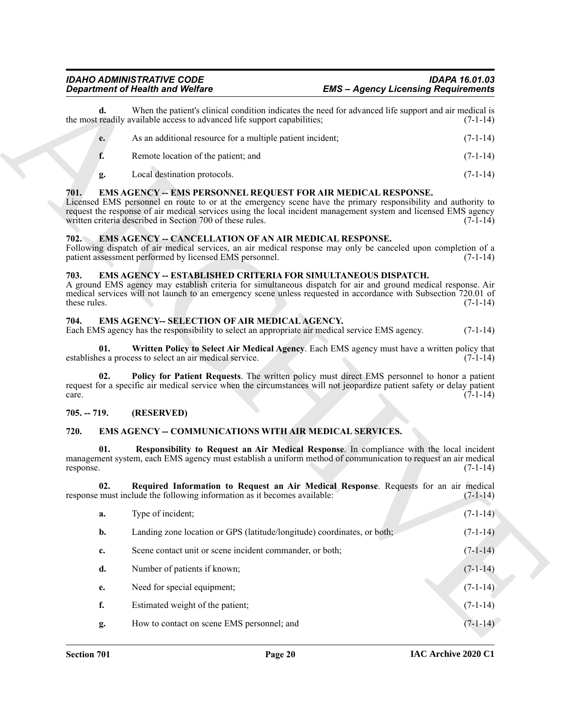### *IDAHO ADMINISTRATIVE CODE IDAPA 16.01.03 EMS – Agency Licensing Requirements*

| As an additional resource for a multiple patient incident; | $(7-1-14)$ |
|------------------------------------------------------------|------------|
| Remote location of the patient; and                        | $(7-1-14)$ |

### <span id="page-19-10"></span><span id="page-19-0"></span>**701. EMS AGENCY -- EMS PERSONNEL REQUEST FOR AIR MEDICAL RESPONSE.**

#### <span id="page-19-6"></span><span id="page-19-1"></span>**702. EMS AGENCY -- CANCELLATION OF AN AIR MEDICAL RESPONSE.**

#### <span id="page-19-11"></span><span id="page-19-2"></span>**703. EMS AGENCY -- ESTABLISHED CRITERIA FOR SIMULTANEOUS DISPATCH.**

#### <span id="page-19-14"></span><span id="page-19-12"></span><span id="page-19-3"></span>**704. EMS AGENCY-- SELECTION OF AIR MEDICAL AGENCY.**

### <span id="page-19-13"></span><span id="page-19-4"></span>**705. -- 719. (RESERVED)**

### <span id="page-19-9"></span><span id="page-19-8"></span><span id="page-19-7"></span><span id="page-19-5"></span>**720. EMS AGENCY -- COMMUNICATIONS WITH AIR MEDICAL SERVICES.**

|                      | <b>Department of Health and Welfare</b>                                                                                                                                                                                                                                                                                                                               |                                                                                                       | <b>EMS - Agency Licensing Requirements</b> |  |  |
|----------------------|-----------------------------------------------------------------------------------------------------------------------------------------------------------------------------------------------------------------------------------------------------------------------------------------------------------------------------------------------------------------------|-------------------------------------------------------------------------------------------------------|--------------------------------------------|--|--|
| d.                   | the most readily available access to advanced life support capabilities;                                                                                                                                                                                                                                                                                              | When the patient's clinical condition indicates the need for advanced life support and air medical is | $(7-1-14)$                                 |  |  |
| e.                   | As an additional resource for a multiple patient incident;                                                                                                                                                                                                                                                                                                            |                                                                                                       | $(7-1-14)$                                 |  |  |
| f.                   | Remote location of the patient; and                                                                                                                                                                                                                                                                                                                                   |                                                                                                       | $(7-1-14)$                                 |  |  |
| g.                   | Local destination protocols.                                                                                                                                                                                                                                                                                                                                          |                                                                                                       | $(7-1-14)$                                 |  |  |
| 701.                 | <b>EMS AGENCY -- EMS PERSONNEL REQUEST FOR AIR MEDICAL RESPONSE.</b><br>Licensed EMS personnel en route to or at the emergency scene have the primary responsibility and authority to<br>request the response of air medical services using the local incident management system and licensed EMS agency<br>written criteria described in Section 700 of these rules. |                                                                                                       | $(7-1-14)$                                 |  |  |
| 702.                 | <b>EMS AGENCY -- CANCELLATION OF AN AIR MEDICAL RESPONSE.</b><br>Following dispatch of air medical services, an air medical response may only be canceled upon completion of a<br>patient assessment performed by licensed EMS personnel.                                                                                                                             |                                                                                                       | $(7-1-14)$                                 |  |  |
| 703.<br>these rules. | <b>EMS AGENCY -- ESTABLISHED CRITERIA FOR SIMULTANEOUS DISPATCH.</b><br>A ground EMS agency may establish criteria for simultaneous dispatch for air and ground medical response. Air<br>medical services will not launch to an emergency scene unless requested in accordance with Subsection 720.01 of                                                              |                                                                                                       | $(7-1-14)$                                 |  |  |
| 704.                 | EMS AGENCY-- SELECTION OF AIR MEDICAL AGENCY.<br>Each EMS agency has the responsibility to select an appropriate air medical service EMS agency.                                                                                                                                                                                                                      |                                                                                                       | $(7-1-14)$                                 |  |  |
| 01.                  | establishes a process to select an air medical service.                                                                                                                                                                                                                                                                                                               | Written Policy to Select Air Medical Agency. Each EMS agency must have a written policy that          | $(7-1-14)$                                 |  |  |
| 02.<br>care.         | request for a specific air medical service when the circumstances will not jeopardize patient safety or delay patient                                                                                                                                                                                                                                                 | Policy for Patient Requests. The written policy must direct EMS personnel to honor a patient          | $(7-1-14)$                                 |  |  |
| $705. - 719.$        | (RESERVED)                                                                                                                                                                                                                                                                                                                                                            |                                                                                                       |                                            |  |  |
| 720.                 | <b>EMS AGENCY -- COMMUNICATIONS WITH AIR MEDICAL SERVICES.</b>                                                                                                                                                                                                                                                                                                        |                                                                                                       |                                            |  |  |
| 01.<br>response.     | management system, each EMS agency must establish a uniform method of communication to request an air medical                                                                                                                                                                                                                                                         | Responsibility to Request an Air Medical Response. In compliance with the local incident              | $(7-1-14)$                                 |  |  |
| 02.                  | response must include the following information as it becomes available:                                                                                                                                                                                                                                                                                              | Required Information to Request an Air Medical Response. Requests for an air medical                  | $(7-1-14)$                                 |  |  |
| a.                   | Type of incident;                                                                                                                                                                                                                                                                                                                                                     |                                                                                                       | $(7-1-14)$                                 |  |  |
| b.                   | Landing zone location or GPS (latitude/longitude) coordinates, or both;                                                                                                                                                                                                                                                                                               |                                                                                                       | $(7-1-14)$                                 |  |  |
|                      | Scene contact unit or scene incident commander, or both;                                                                                                                                                                                                                                                                                                              |                                                                                                       | $(7-1-14)$                                 |  |  |
| c.                   |                                                                                                                                                                                                                                                                                                                                                                       |                                                                                                       |                                            |  |  |
| d.                   | Number of patients if known;                                                                                                                                                                                                                                                                                                                                          |                                                                                                       |                                            |  |  |
| e.                   | Need for special equipment;                                                                                                                                                                                                                                                                                                                                           |                                                                                                       |                                            |  |  |
| f.                   | Estimated weight of the patient;                                                                                                                                                                                                                                                                                                                                      |                                                                                                       | $(7-1-14)$<br>$(7-1-14)$<br>$(7-1-14)$     |  |  |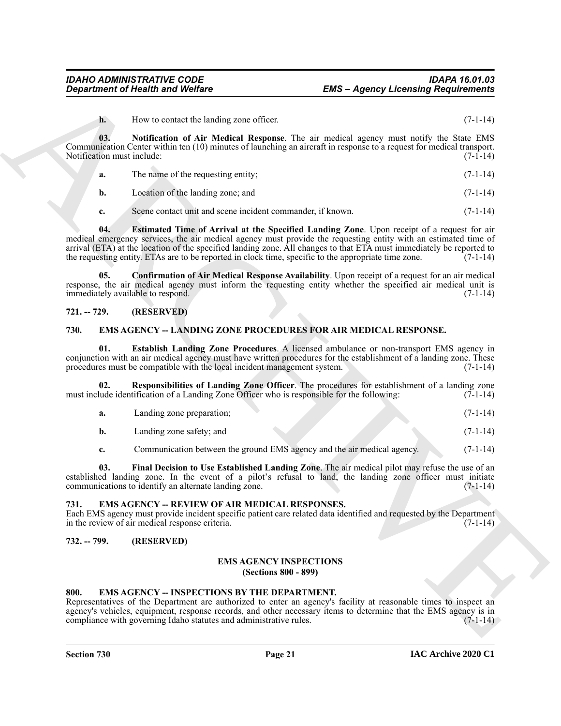<span id="page-20-8"></span>**h.** How to contact the landing zone officer. (7-1-14)

**03. Notification of Air Medical Response**. The air medical agency must notify the State EMS Communication Center within ten (10) minutes of launching an aircraft in response to a request for medical transport. Notification must include: (7-1-14)

**a.** The name of the requesting entity; (7-1-14)

**b.** Location of the landing zone; and (7-1-14)

<span id="page-20-7"></span><span id="page-20-6"></span>**c.** Scene contact unit and scene incident commander, if known. (7-1-14)

**ENS** — **ENS** — Appery Licensing Requirements<br> **ENS** — University the studies the studies of Air Medicine and second terms.<br>
B. B. Notification of Air Medicine and Solid Response. The attended superior made solid p. Solid **04. Estimated Time of Arrival at the Specified Landing Zone**. Upon receipt of a request for air medical emergency services, the air medical agency must provide the requesting entity with an estimated time of arrival (ETA) at the location of the specified landing zone. All changes to that ETA must immediately be reported to the requesting entity. ETAs are to be reported in clock time, specific to the appropriate time zone.  $(7$ the requesting entity. ETAs are to be reported in clock time, specific to the appropriate time zone.

**05. Confirmation of Air Medical Response Availability**. Upon receipt of a request for an air medical response, the air medical agency must inform the requesting entity whether the specified air medical unit is immediately available to respond. (7-1-14)

### <span id="page-20-0"></span>**721. -- 729. (RESERVED)**

### <span id="page-20-10"></span><span id="page-20-1"></span>**730. EMS AGENCY -- LANDING ZONE PROCEDURES FOR AIR MEDICAL RESPONSE.**

<span id="page-20-11"></span>**01. Establish Landing Zone Procedures**. A licensed ambulance or non-transport EMS agency in conjunction with an air medical agency must have written procedures for the establishment of a landing zone. These procedures must be compatible with the local incident management system. (7-1-14)

**02. Responsibilities of Landing Zone Officer**. The procedures for establishment of a landing zone must include identification of a Landing Zone Officer who is responsible for the following: (7-1-14)

<span id="page-20-13"></span>

| Landing zone preparation; |  | $(7-1-14)$ |
|---------------------------|--|------------|
| Landing zone safety; and  |  | $(7-1-14)$ |

<span id="page-20-12"></span>**c.** Communication between the ground EMS agency and the air medical agency. (7-1-14)

**03. Final Decision to Use Established Landing Zone**. The air medical pilot may refuse the use of an established landing zone. In the event of a pilot's refusal to land, the landing zone officer must initiate communications to identify an alternate landing zone. (7-1-14)

### <span id="page-20-15"></span><span id="page-20-2"></span>**731. EMS AGENCY -- REVIEW OF AIR MEDICAL RESPONSES.**

Each EMS agency must provide incident specific patient care related data identified and requested by the Department in the review of air medical response criteria. (7-1-14) in the review of air medical response criteria.

#### <span id="page-20-4"></span><span id="page-20-3"></span>**732. -- 799. (RESERVED)**

# <span id="page-20-14"></span>**EMS AGENCY INSPECTIONS**

**(Sections 800 - 899)**

### <span id="page-20-9"></span><span id="page-20-5"></span>**800. EMS AGENCY -- INSPECTIONS BY THE DEPARTMENT.**

Representatives of the Department are authorized to enter an agency's facility at reasonable times to inspect an agency's vehicles, equipment, response records, and other necessary items to determine that the EMS agency is in compliance with governing Idaho statutes and administrative rules. (7-1-14) compliance with governing Idaho statutes and administrative rules.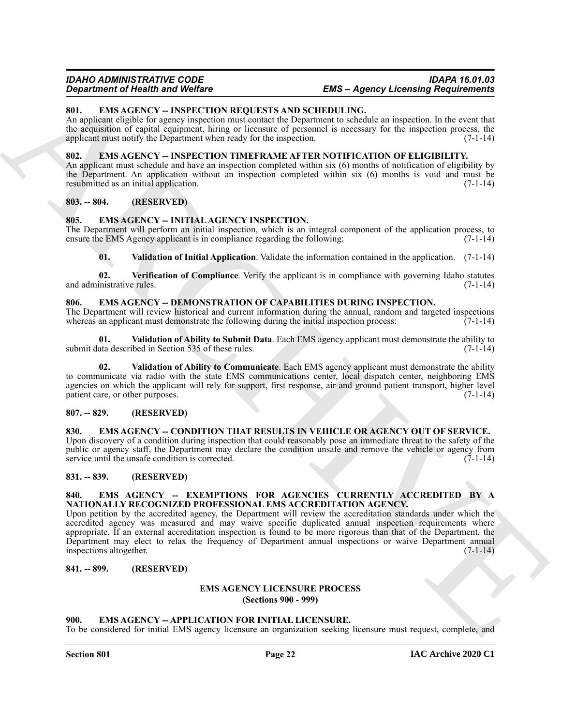### *IDAHO ADMINISTRATIVE CODE IDAPA 16.01.03 EMS – Agency Licensing Requirements*

### <span id="page-21-21"></span><span id="page-21-0"></span>**801. EMS AGENCY -- INSPECTION REQUESTS AND SCHEDULING.**

An applicant eligible for agency inspection must contact the Department to schedule an inspection. In the event that the acquisition of capital equipment, hiring or licensure of personnel is necessary for the inspection process, the applicant must notify the Department when ready for the inspection. (7-1-14)

#### <span id="page-21-22"></span><span id="page-21-1"></span>**802. EMS AGENCY -- INSPECTION TIMEFRAME AFTER NOTIFICATION OF ELIGIBILITY.**

An applicant must schedule and have an inspection completed within six (6) months of notification of eligibility by the Department. An application without an inspection completed within six (6) months is void and must be resubmitted as an initial application. (7-1-14)

### <span id="page-21-2"></span>**803. -- 804. (RESERVED)**

#### <span id="page-21-18"></span><span id="page-21-3"></span>**805. EMS AGENCY -- INITIAL AGENCY INSPECTION.**

The Department will perform an initial inspection, which is an integral component of the application process, to ensure the EMS Agency applicant is in compliance regarding the following: (7-1-14)

<span id="page-21-20"></span><span id="page-21-19"></span>**01. Validation of Initial Application**. Validate the information contained in the application. (7-1-14)

**02. Verification of Compliance**. Verify the applicant is in compliance with governing Idaho statutes and administrative rules. (7-1-14)

#### <span id="page-21-14"></span><span id="page-21-4"></span>**806. EMS AGENCY -- DEMONSTRATION OF CAPABILITIES DURING INSPECTION.**

The Department will review historical and current information during the annual, random and targeted inspections whereas an applicant must demonstrate the following during the initial inspection process:  $(7-1-14)$ 

<span id="page-21-16"></span>**01. Validation of Ability to Submit Data**. Each EMS agency applicant must demonstrate the ability to submit data described in Section 535 of these rules. (7-1-14)

<span id="page-21-15"></span>**02. Validation of Ability to Communicate**. Each EMS agency applicant must demonstrate the ability to communicate via radio with the state EMS communications center, local dispatch center, neighboring EMS agencies on which the applicant will rely for support, first response, air and ground patient transport, higher level patient care, or other purposes. (7-1-14)

#### <span id="page-21-5"></span>**807. -- 829. (RESERVED)**

<span id="page-21-13"></span><span id="page-21-6"></span>830. EMS AGENCY -- CONDITION THAT RESULTS IN VEHICLE OR AGENCY OUT OF SERVICE. Upon discovery of a condition during inspection that could reasonably pose an immediate threat to the safety of the public or agency staff, the Department may declare the condition unsafe and remove the vehicle or agency from service until the unsafe condition is corrected. (7-1-14)

#### <span id="page-21-7"></span>**831. -- 839. (RESERVED)**

#### <span id="page-21-17"></span><span id="page-21-8"></span>**840. EMS AGENCY -- EXEMPTIONS FOR AGENCIES CURRENTLY ACCREDITED BY A NATIONALLY RECOGNIZED PROFESSIONAL EMS ACCREDITATION AGENCY.**

**EXAMPLE OF NEW WAVE CONTINUES AND SCHEDULE LANG.**<br> **SERVICION WAVE CONTINUES AND SCHEDULE LANG.**<br>
SURFACE CONTINUES AND SCHEDULE CONTINUES AND SCHEDULE AND STRUCTURE CONTINUES IN the continues of the structure of the str Upon petition by the accredited agency, the Department will review the accreditation standards under which the accredited agency was measured and may waive specific duplicated annual inspection requirements where appropriate. If an external accreditation inspection is found to be more rigorous than that of the Department, the Department may elect to relax the frequency of Department annual inspections or waive Department annual inspections altogether. (7-1-14)

### <span id="page-21-10"></span><span id="page-21-9"></span>**841. -- 899. (RESERVED)**

#### <span id="page-21-23"></span>**EMS AGENCY LICENSURE PROCESS (Sections 900 - 999)**

#### <span id="page-21-12"></span><span id="page-21-11"></span>**900. EMS AGENCY -- APPLICATION FOR INITIAL LICENSURE.**

To be considered for initial EMS agency licensure an organization seeking licensure must request, complete, and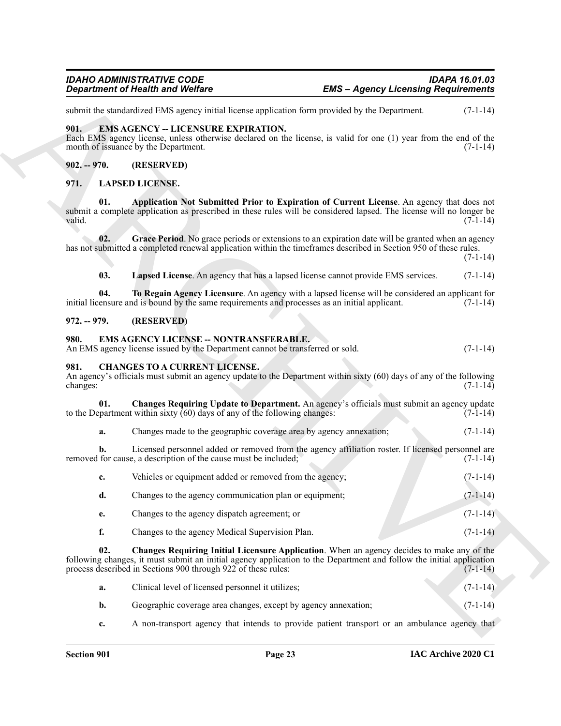#### <span id="page-22-9"></span><span id="page-22-0"></span>**901. EMS AGENCY -- LICENSURE EXPIRATION.**

#### <span id="page-22-1"></span>**902. -- 970. (RESERVED)**

#### <span id="page-22-13"></span><span id="page-22-12"></span><span id="page-22-11"></span><span id="page-22-2"></span>**971. LAPSED LICENSE.**

#### <span id="page-22-14"></span><span id="page-22-3"></span>**972. -- 979. (RESERVED)**

#### <span id="page-22-10"></span><span id="page-22-4"></span>**980. EMS AGENCY LICENSE -- NONTRANSFERABLE.**

#### <span id="page-22-6"></span><span id="page-22-5"></span>**981. CHANGES TO A CURRENT LICENSE.**

<span id="page-22-8"></span>

| An agency's officials must submit an agency update to the Department within sixty (60) days of any of the following |  |  |            |
|---------------------------------------------------------------------------------------------------------------------|--|--|------------|
| changes:                                                                                                            |  |  | $(7-1-14)$ |

|                  | <b>Department of Health and Welfare</b>                                                                                        |                                                                                                                                                                                                                       | <b>EMS</b> - Agency Licensing Requirements |  |  |
|------------------|--------------------------------------------------------------------------------------------------------------------------------|-----------------------------------------------------------------------------------------------------------------------------------------------------------------------------------------------------------------------|--------------------------------------------|--|--|
|                  |                                                                                                                                | submit the standardized EMS agency initial license application form provided by the Department.                                                                                                                       | $(7-1-14)$                                 |  |  |
| 901.             | <b>EMS AGENCY -- LICENSURE EXPIRATION.</b><br>month of issuance by the Department.                                             | Each EMS agency license, unless otherwise declared on the license, is valid for one (1) year from the end of the                                                                                                      | $(7-1-14)$                                 |  |  |
| $902. - 970.$    | (RESERVED)                                                                                                                     |                                                                                                                                                                                                                       |                                            |  |  |
| 971.             | <b>LAPSED LICENSE.</b>                                                                                                         |                                                                                                                                                                                                                       |                                            |  |  |
| 01.<br>valid.    |                                                                                                                                | Application Not Submitted Prior to Expiration of Current License. An agency that does not<br>submit a complete application as prescribed in these rules will be considered lapsed. The license will no longer be      | $(7-1-14)$                                 |  |  |
| 02.              |                                                                                                                                | Grace Period. No grace periods or extensions to an expiration date will be granted when an agency<br>has not submitted a completed renewal application within the timeframes described in Section 950 of these rules. | $(7-1-14)$                                 |  |  |
| 03.              |                                                                                                                                | Lapsed License. An agency that has a lapsed license cannot provide EMS services.                                                                                                                                      | $(7-1-14)$                                 |  |  |
| 04.              | initial licensure and is bound by the same requirements and processes as an initial applicant.                                 | To Regain Agency Licensure. An agency with a lapsed license will be considered an applicant for                                                                                                                       | $(7-1-14)$                                 |  |  |
| $972. - 979.$    | (RESERVED)                                                                                                                     |                                                                                                                                                                                                                       |                                            |  |  |
| 980.             | <b>EMS AGENCY LICENSE -- NONTRANSFERABLE.</b><br>An EMS agency license issued by the Department cannot be transferred or sold. |                                                                                                                                                                                                                       | $(7-1-14)$                                 |  |  |
| 981.<br>changes: | <b>CHANGES TO A CURRENT LICENSE.</b>                                                                                           | An agency's officials must submit an agency update to the Department within sixty (60) days of any of the following                                                                                                   | $(7-1-14)$                                 |  |  |
| 01.              | to the Department within sixty $(60)$ days of any of the following changes:                                                    | Changes Requiring Update to Department. An agency's officials must submit an agency update                                                                                                                            | $(7-1-14)$                                 |  |  |
| a.               | Changes made to the geographic coverage area by agency annexation;                                                             |                                                                                                                                                                                                                       | $(7-1-14)$                                 |  |  |
| b.               | removed for cause, a description of the cause must be included;                                                                | Licensed personnel added or removed from the agency affiliation roster. If licensed personnel are                                                                                                                     | $(7-1-14)$                                 |  |  |
| c.               | Vehicles or equipment added or removed from the agency;                                                                        |                                                                                                                                                                                                                       | $(7-1-14)$                                 |  |  |
| d.               | Changes to the agency communication plan or equipment;                                                                         |                                                                                                                                                                                                                       | $(7-1-14)$                                 |  |  |
| e.               | Changes to the agency dispatch agreement; or                                                                                   |                                                                                                                                                                                                                       | $(7-1-14)$                                 |  |  |
| f.               | Changes to the agency Medical Supervision Plan.                                                                                |                                                                                                                                                                                                                       | $(7-1-14)$                                 |  |  |
| 02.              | process described in Sections 900 through 922 of these rules:                                                                  | Changes Requiring Initial Licensure Application. When an agency decides to make any of the<br>following changes, it must submit an initial agency application to the Department and follow the initial application    | $(7-1-14)$                                 |  |  |
| a.               | Clinical level of licensed personnel it utilizes;                                                                              |                                                                                                                                                                                                                       | $(7-1-14)$                                 |  |  |
| b.               | Geographic coverage area changes, except by agency annexation;                                                                 |                                                                                                                                                                                                                       | $(7-1-14)$                                 |  |  |
| c.               |                                                                                                                                | A non-transport agency that intends to provide patient transport or an ambulance agency that                                                                                                                          |                                            |  |  |

<span id="page-22-7"></span>

| а. | Clinical level of licensed personnel it utilizes:              | $(7-1-14)$ |
|----|----------------------------------------------------------------|------------|
|    | Geographic coverage area changes, except by agency annexation; | $(7-1-14)$ |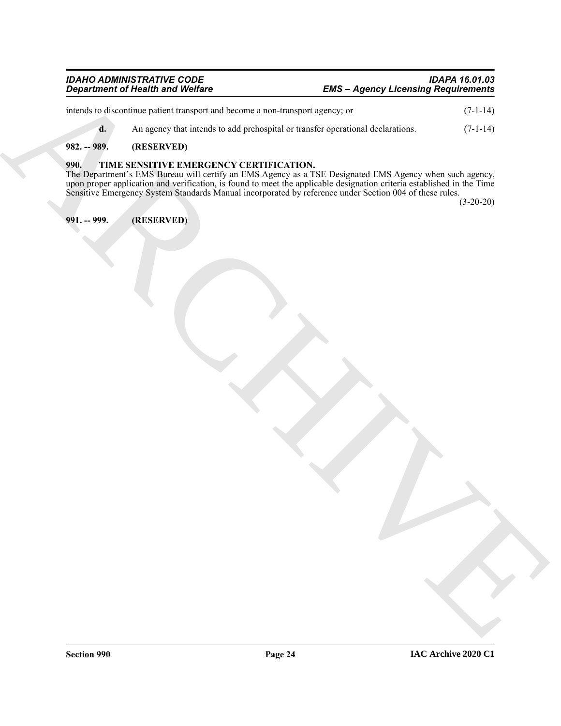| IDAHO ADMINISTRATIVE CODE        | IDAPA 16.01.03                             |
|----------------------------------|--------------------------------------------|
| Department of Health and Welfare | <b>EMS - Agency Licensing Requirements</b> |

| <b>Department of Health and Welfare</b> |                                                                                 | <b>EMS - Agency Licensing Requirements</b>                                                                                                                                                                                                                                                                                                |             |  |
|-----------------------------------------|---------------------------------------------------------------------------------|-------------------------------------------------------------------------------------------------------------------------------------------------------------------------------------------------------------------------------------------------------------------------------------------------------------------------------------------|-------------|--|
|                                         | intends to discontinue patient transport and become a non-transport agency; or  |                                                                                                                                                                                                                                                                                                                                           | $(7-1-14)$  |  |
| d.                                      | An agency that intends to add prehospital or transfer operational declarations. |                                                                                                                                                                                                                                                                                                                                           | $(7-1-14)$  |  |
| 982. -- 989.                            | (RESERVED)                                                                      |                                                                                                                                                                                                                                                                                                                                           |             |  |
| 990.                                    | TIME SENSITIVE EMERGENCY CERTIFICATION.                                         | The Department's EMS Bureau will certify an EMS Agency as a TSE Designated EMS Agency when such agency, upon proper application and verification, is found to meet the applicable designation criteria established in the Time<br>Sensitive Emergency System Standards Manual incorporated by reference under Section 004 of these rules. | $(3-20-20)$ |  |
| 991. -- 999.                            | (RESERVED)                                                                      |                                                                                                                                                                                                                                                                                                                                           |             |  |
|                                         |                                                                                 |                                                                                                                                                                                                                                                                                                                                           |             |  |

# <span id="page-23-0"></span>**982. -- 989. (RESERVED)**

#### <span id="page-23-3"></span><span id="page-23-2"></span><span id="page-23-1"></span>**990. TIME SENSITIVE EMERGENCY CERTIFICATION.**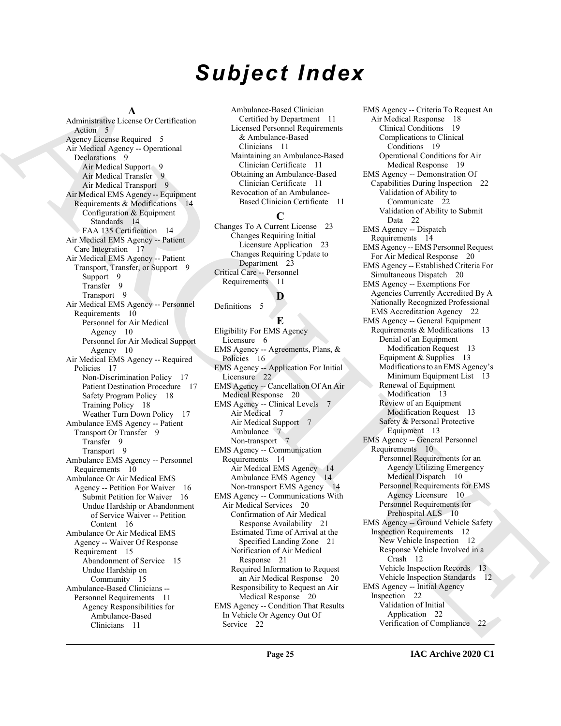# *Subject Index*

#### **A**

Administrative License Or Certification Action 5 Agency License Required 5 Air Medical Agency -- Operational Declarations 9 Air Medical Support 9 Air Medical Transfer 9 Air Medical Transport 9 Air Medical EMS Agency -- Equipment Requirements & Modifications 14 Configuration & Equipment Standards 14 FAA 135 Certification 14 Air Medical EMS Agency -- Patient Care Integration 17 Air Medical EMS Agency -- Patient Transport, Transfer, or Support 9 Support 9 Transfer 9 Transport 9 Air Medical EMS Agency -- Personnel Requirements 10 Personnel for Air Medical Agency 10 Personnel for Air Medical Support Agency 10 Air Medical EMS Agency -- Required Policies 17 Non-Discrimination Policy 17 Patient Destination Procedure 17 Safety Program Policy 18 Training Policy 18 Weather Turn Down Policy 17 Ambulance EMS Agency -- Patient Transport Or Transfer 9 Transfer 9 Transport 9 Ambulance EMS Agency -- Personnel Requirements 10 Ambulance Or Air Medical EMS Agency -- Petition For Waiver 16 Submit Petition for Waiver 16 Undue Hardship or Abandonment of Service Waiver -- Petition Content 16 Ambulance Or Air Medical EMS Agency -- Waiver Of Response Requirement 15 Abandonment of Service 15 Undue Hardship on Community 15 Ambulance-Based Clinicians -- Personnel Requirements 11 Agency Responsibilities for Ambulance-Based Clinicians 11

Ambulance-Based Clinician Certified by Department 11 Licensed Personnel Requirements & Ambulance-Based Clinicians 11 Maintaining an Ambulance-Based Clinician Certificate 11 Obtaining an Ambulance-Based Clinician Certificate 11 Revocation of an Ambulance-Based Clinician Certificate 11

### **C**

Changes To A Current License 23 Changes Requiring Initial Licensure Application 23 Changes Requiring Update to Department 23 Critical Care -- Personnel Requirements 11

# **D**

Definitions 5

**E** Eligibility For EMS Agency Licensure 6 EMS Agency -- Agreements, Plans, & Policies 16 EMS Agency -- Application For Initial Licensure 22 EMS Agency -- Cancellation Of An Air Medical Response 20 EMS Agency -- Clinical Levels 7 Air Medical 7 Air Medical Support 7 Ambulance 7 Non-transport 7 EMS Agency -- Communication Requirements 14 Air Medical EMS Agency 14 Ambulance EMS Agency 14 Non-transport EMS Agency 14 EMS Agency -- Communications With Air Medical Services 20 Confirmation of Air Medical

Response Availability 21 Estimated Time of Arrival at the Specified Landing Zone 21 Notification of Air Medical Response 21 Required Information to Request an Air Medical Response 20 Responsibility to Request an Air Medical Response 20 EMS Agency -- Condition That Results

In Vehicle Or Agency Out Of Service 22

[A](#page-4-13)dministration (According to [C](#page-22-8)ontinuous Angles Apple 1991) Angles (School Angles Angles Angles Angles Angles Angles Angles Angles Angles Angles Angles Angles Angles Angles Angles Angles Angles Angles Angles Angles Angles EMS Agency -- Criteria To Request An Air Medical Response 18 Clinical Conditions 19 Complications to Clinical Conditions 19 Operational Conditions for Air Medical Response 19 EMS Agency -- Demonstration Of Capabilities During Inspection 22 Validation of Ability to Communicate 22 Validation of Ability to Submit Data 22 EMS Agency -- Dispatch Requirements 14 EMS Agency -- EMS Personnel Request For Air Medical Response 20 EMS Agency -- Established Criteria For Simultaneous Dispatch 20 EMS Agency -- Exemptions For Agencies Currently Accredited By A Nationally Recognized Professional EMS Accreditation Agency 22 EMS Agency -- General Equipment Requirements & Modifications 13 Denial of an Equipment Modification Request 13 Equipment & Supplies 13 Modifications to an EMS Agency's Minimum Equipment List 13 Renewal of Equipment Modification 13 Review of an Equipment Modification Request 13 Safety & Personal Protective Equipment 13 EMS Agency -- General Personnel Requirements 10 Personnel Requirements for an Agency Utilizing Emergency Medical Dispatch 10 Personnel Requirements for EMS Agency Licensure 10 Personnel Requirements for Prehospital ALS 10 EMS Agency -- Ground Vehicle Safety Inspection Requirements 12 New Vehicle Inspection 12 Response Vehicle Involved in a Crash 12 Vehicle Inspection Records 13 Vehicle Inspection Standards 12 EMS Agency -- Initial Agency Inspection 22 Validation of Initial Application 22 Verification of Compliance 22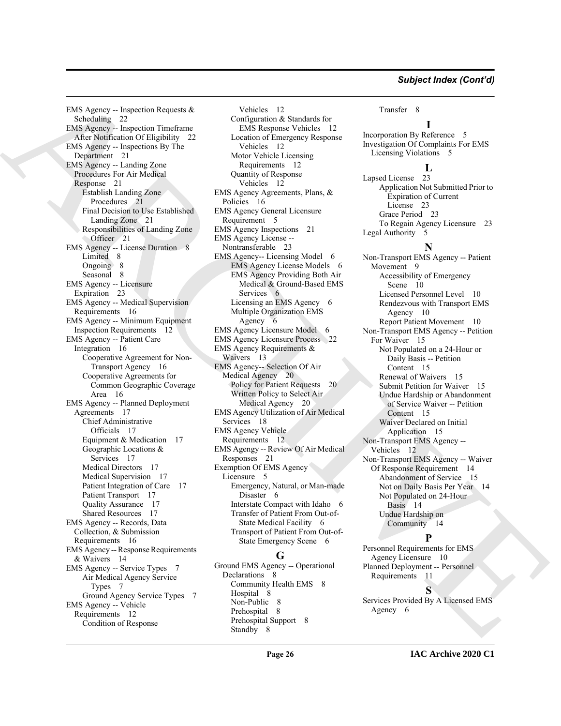[AR](#page-20-10)[C](#page-5-8)[H](#page-12-11)[I](#page-14-10)[V](#page-11-18)[E](#page-13-19) EMS Agency -- Inspection Requests & Scheduling 22 EMS Agency -- Inspection Timeframe After Notification Of Eligibility 22 EMS Agency -- Inspections By The Department 21 EMS Agency -- Landing Zone Procedures For Air Medical Response 21 Establish Landing Zone Procedures 21 Final Decision to Use Established Landing Zone 21 Responsibilities of Landing Zone Officer 21 EMS Agency -- License Duration 8 Limited 8 Ongoing 8 Seasonal 8 EMS Agency -- Licensure Expiration 23 EMS Agency -- Medical Supervision Requirements 16 EMS Agency -- Minimum Equipment Inspection Requirements 12 EMS Agency -- Patient Care Integration 16 Cooperative Agreement for Non-Transport Agency 16 Cooperative Agreements for Common Geographic Coverage Area 16 EMS Agency -- Planned Deployment Agreements 17 Chief Administrative Officials 17 Equipment & Medication 17 Geographic Locations & Services 17 Medical Directors 17 Medical Supervision 17 Patient Integration of Care 17 Patient Transport 17 Quality Assurance 17 Shared Resources 17 EMS Agency -- Records, Data Collection, & Submission Requirements 16 EMS Agency -- Response Requirements & Waivers 14 EMS Agency -- Service Types 7 Air Medical Agency Service Types 7 Ground Agency Service Types 7 EMS Agency -- Vehicle Requirements 12 Condition of Response

Vehicles 12 Configuration & Standards for EMS Response Vehicles 12 Location of Emergency Response Vehicles 12 Motor Vehicle Licensing Requirements 12 Quantity of Response Vehicles 12 EMS Agency Agreements, Plans, & Policies 16 EMS Agency General Licensure Requirement 5 EMS Agency Inspections 21 EMS Agency License -- Nontransferable 23 EMS Agency-- Licensing Model 6 EMS Agency License Models 6 EMS Agency Providing Both Air Medical & Ground-Based EMS Services 6 Licensing an EMS Agency 6 Multiple Organization EMS Agency 6 EMS Agency Licensure Model 6 EMS Agency Licensure Process 22 EMS Agency Requirements & Waivers 13 EMS Agency-- Selection Of Air Medical Agency 20 Policy for Patient Requests 20 Written Policy to Select Air Medical Agency 20 EMS Agency Utilization of Air Medical Services 18 EMS Agency Vehicle Requirements 12 EMS Agengy -- Review Of Air Medical Responses 21 Exemption Of EMS Agency Licensure 5 Emergency, Natural, or Man-made Disaster 6 Interstate Compact with Idaho 6 Transfer of Patient From Out-of-State Medical Facility 6 Transport of Patient From Out-of-State Emergency Scene 6 **G**

Ground EMS Agency -- Operational Declarations 8 Community Health EMS 8 Hospital 8 Non-Public 8 Prehospital 8 Prehospital Support 8 Standby 8

#### Transfer 8

**I** Incorporation By Reference 5 Investigation Of Complaints For EMS Licensing Violations 5

#### **L**

Lapsed License 23 Application Not Submitted Prior to Expiration of Current License 23 Grace Period 23 To Regain Agency Licensure 23 Legal Authority 5

# **N**

Non-Transport EMS Agency -- Patient Movement 9 Accessibility of Emergency Scene 10 Licensed Personnel Level 10 Rendezvous with Transport EMS Agency 10 Report Patient Movement 10 Non-Transport EMS Agency -- Petition For Waiver 15 Not Populated on a 24-Hour or Daily Basis -- Petition Content 15 Renewal of Waivers 15 Submit Petition for Waiver 15 Undue Hardship or Abandonment of Service Waiver -- Petition Content 15 Waiver Declared on Initial Application 15 Non-Transport EMS Agency -- Vehicles 12 Non-Transport EMS Agency -- Waiver Of Response Requirement 14 Abandonment of Service 15 Not on Daily Basis Per Year 14 Not Populated on 24-Hour Basis 14 Undue Hardship on Community 14

### **P**

Personnel Requirements for EMS Agency Licensure 10 Planned Deployment -- Personnel Requirements 11

**S**

Services Provided By A Licensed EMS Agency 6